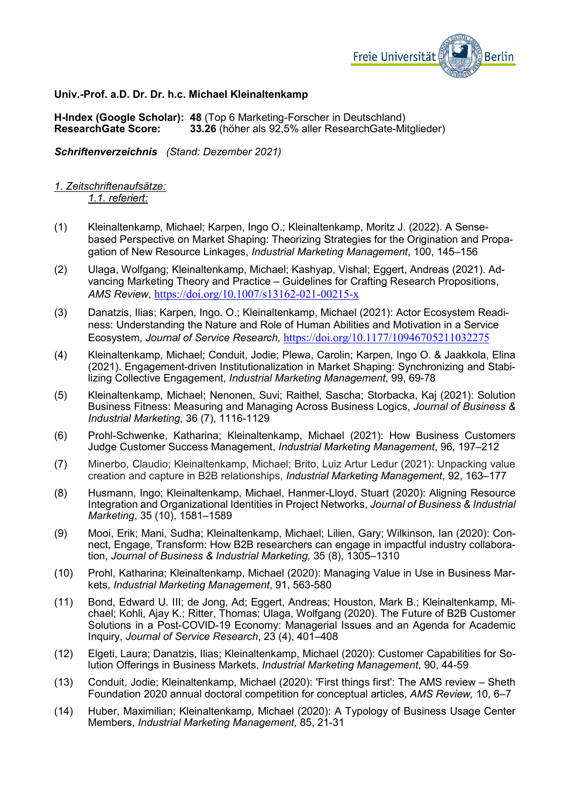

# **Univ.-Prof. a.D. Dr. Dr. h.c. Michael Kleinaltenkamp**

**H-Index (Google Scholar): 48** (Top 6 Marketing-Forscher in Deutschland) **33.26** (höher als 92,5% aller ResearchGate-Mitglieder)

*Schriftenverzeichnis (Stand: Dezember 2021)*

*1. Zeitschriftenaufsätze: 1.1. referiert:*

- (1) Kleinaltenkamp, Michael; Karpen, Ingo O.; Kleinaltenkamp, Moritz J. (2022). A Sensebased Perspective on Market Shaping: Theorizing Strategies for the Origination and Propagation of New Resource Linkages, *Industrial Marketing Management*, 100, 145–156
- (2) Ulaga, Wolfgang; Kleinaltenkamp, Michael; Kashyap, Vishal; Eggert, Andreas (2021). Advancing Marketing Theory and Practice – Guidelines for Crafting Research Propositions, *AMS Review*, <https://doi.org/10.1007/s13162-021-00215-x>
- (3) Danatzis, Ilias; Karpen, Ingo. O.; Kleinaltenkamp, Michael (2021): Actor Ecosystem Readiness: Understanding the Nature and Role of Human Abilities and Motivation in a Service Ecosystem, *Journal of Service Research,* <https://doi.org/10.1177/10946705211032275>
- (4) Kleinaltenkamp, Michael; Conduit, Jodie; Plewa, Carolin; Karpen, Ingo O. & Jaakkola, Elina (2021). Engagement-driven Institutionalization in Market Shaping: Synchronizing and Stabilizing Collective Engagement, *Industrial Marketing Management*, 99, 69-78
- (5) Kleinaltenkamp, Michael; Nenonen, Suvi; Raithel, Sascha; Storbacka, Kaj (2021): Solution Business Fitness: Measuring and Managing Across Business Logics, *Journal of Business & Industrial Marketing*, 36 (7), 1116-1129
- (6) Prohl-Schwenke, Katharina; Kleinaltenkamp, Michael (2021): How Business Customers Judge Customer Success Management, *Industrial Marketing Management*, 96, 197–212
- (7) Minerbo, Claudio; Kleinaltenkamp, Michael; Brito, Luiz Artur Ledur (2021): Unpacking value creation and capture in B2B relationships, *Industrial Marketing Management*, 92, 163–177
- (8) Husmann, Ingo; Kleinaltenkamp, Michael, Hanmer-Lloyd, Stuart (2020): Aligning Resource Integration and Organizational Identities in Project Networks, *Journal of Business & Industrial Marketing*, 35 (10), 1581–1589
- (9) Mooi, Erik; Mani, Sudha; Kleinaltenkamp, Michael; Lilien, Gary; Wilkinson, Ian (2020): Connect, Engage, Transform: How B2B researchers can engage in impactful industry collaboration, *Journal of Business & Industrial Marketing,* 35 (8), 1305–1310
- (10) Prohl, Katharina; Kleinaltenkamp, Michael (2020): Managing Value in Use in Business Markets, *Industrial Marketing Management*, 91, 563-580
- (11) Bond, Edward U. III; de Jong, Ad; Eggert, Andreas; Houston, Mark B.; Kleinaltenkamp, Michael; Kohli, Ajay K.; Ritter, Thomas; Ulaga, Wolfgang (2020). The Future of B2B Customer Solutions in a Post-COVID-19 Economy: Managerial Issues and an Agenda for Academic Inquiry, *Journal of Service Research*, 23 (4), 401–408
- (12) Elgeti, Laura; Danatzis, Ilias; Kleinaltenkamp, Michael (2020): Customer Capabilities for Solution Offerings in Business Markets, *Industrial Marketing Management*, 90, 44-59
- (13) Conduit, Jodie; Kleinaltenkamp, Michael (2020): 'First things first': The AMS review Sheth Foundation 2020 annual doctoral competition for conceptual articles, *AMS Review,* 10, 6–7
- (14) Huber, Maximilian; Kleinaltenkamp, Michael (2020): A Typology of Business Usage Center Members, *Industrial Marketing Management,* 85, 21-31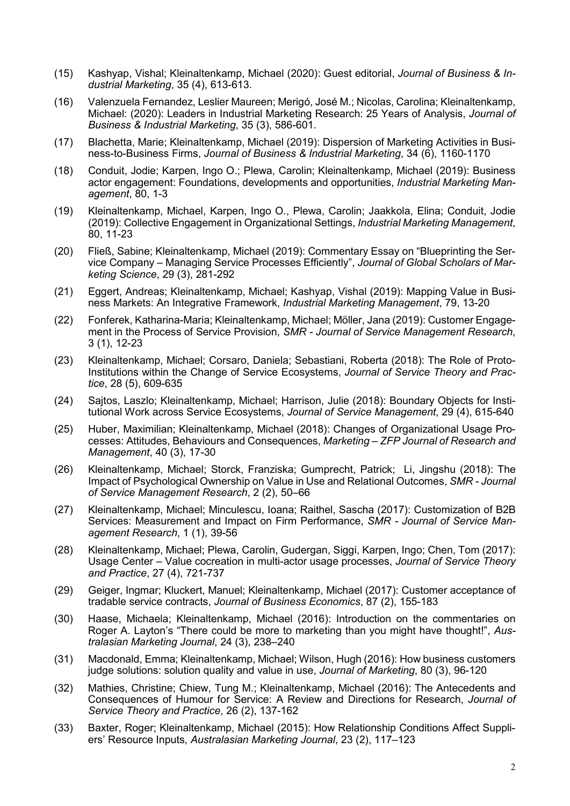- (15) Kashyap, Vishal; Kleinaltenkamp, Michael (2020): Guest editorial, *Journal of Business & Industrial Marketing*, 35 (4), 613-613.
- (16) Valenzuela Fernandez, Leslier Maureen; Merigó, José M.; Nicolas, Carolina; Kleinaltenkamp, Michael: (2020): Leaders in Industrial Marketing Research: 25 Years of Analysis, *Journal of Business & Industrial Marketing*, 35 (3), 586-601.
- (17) Blachetta, Marie; Kleinaltenkamp, Michael (2019): Dispersion of Marketing Activities in Business-to-Business Firms, *Journal of Business & Industrial Marketing*, 34 (6), 1160-1170
- (18) Conduit, Jodie; Karpen, Ingo O.; Plewa, Carolin; Kleinaltenkamp, Michael (2019): Business actor engagement: Foundations, developments and opportunities, *Industrial Marketing Management*, 80, 1-3
- (19) Kleinaltenkamp, Michael, Karpen, Ingo O., Plewa, Carolin; Jaakkola, Elina; Conduit, Jodie (2019): Collective Engagement in Organizational Settings, *Industrial Marketing Management*, 80, 11-23
- (20) Fließ, Sabine; Kleinaltenkamp, Michael (2019): Commentary Essay on "Blueprinting the Service Company – Managing Service Processes Efficiently", *Journal of Global Scholars of Marketing Science*, 29 (3), 281-292
- (21) Eggert, Andreas; Kleinaltenkamp, Michael; Kashyap, Vishal (2019): Mapping Value in Business Markets: An Integrative Framework, *Industrial Marketing Management*, 79, 13-20
- (22) Fonferek, Katharina-Maria; Kleinaltenkamp, Michael; Möller, Jana (2019): Customer Engagement in the Process of Service Provision, *SMR - Journal of Service Management Research*, 3 (1), 12-23
- (23) Kleinaltenkamp, Michael; Corsaro, Daniela; Sebastiani, Roberta (2018): The Role of Proto-Institutions within the Change of Service Ecosystems, *Journal of Service Theory and Practice*, 28 (5), 609-635
- (24) Sajtos, Laszlo; Kleinaltenkamp, Michael; Harrison, Julie (2018): Boundary Objects for Institutional Work across Service Ecosystems, *Journal of Service Management*, 29 (4), 615-640
- (25) Huber, Maximilian; Kleinaltenkamp, Michael (2018): Changes of Organizational Usage Processes: Attitudes, Behaviours and Consequences, *Marketing – ZFP Journal of Research and Management*, 40 (3), 17-30
- (26) Kleinaltenkamp, Michael; Storck, Franziska; Gumprecht, Patrick; Li, Jingshu (2018): The Impact of Psychological Ownership on Value in Use and Relational Outcomes, *SMR - Journal of Service Management Research*, 2 (2), 50–66
- (27) Kleinaltenkamp, Michael; Minculescu, Ioana; Raithel, Sascha (2017): Customization of B2B Services: Measurement and Impact on Firm Performance, *SMR - Journal of Service Management Research*, 1 (1), 39-56
- (28) Kleinaltenkamp, Michael; Plewa, Carolin, Gudergan, Siggi, Karpen, Ingo; Chen, Tom (2017): Usage Center – Value cocreation in multi-actor usage processes, *Journal of Service Theory and Practice*, 27 (4), 721-737
- (29) Geiger, Ingmar; Kluckert, Manuel; Kleinaltenkamp, Michael (2017): Customer acceptance of tradable service contracts, *Journal of Business Economics*, 87 (2), 155-183
- (30) Haase, Michaela; Kleinaltenkamp, Michael (2016): Introduction on the commentaries on Roger A. Layton's "There could be more to marketing than you might have thought!", *Australasian Marketing Journal*, 24 (3), 238–240
- (31) Macdonald, Emma; Kleinaltenkamp, Michael; Wilson, Hugh (2016): How business customers judge solutions: solution quality and value in use, *Journal of Marketing*, 80 (3), 96-120
- (32) Mathies, Christine; Chiew, Tung M.; Kleinaltenkamp, Michael (2016): The Antecedents and Consequences of Humour for Service: A Review and Directions for Research, *Journal of Service Theory and Practice*, 26 (2), 137-162
- (33) Baxter, Roger; Kleinaltenkamp, Michael (2015): How Relationship Conditions Affect Suppliers' Resource Inputs, *Australasian Marketing Journal*, 23 (2), 117–123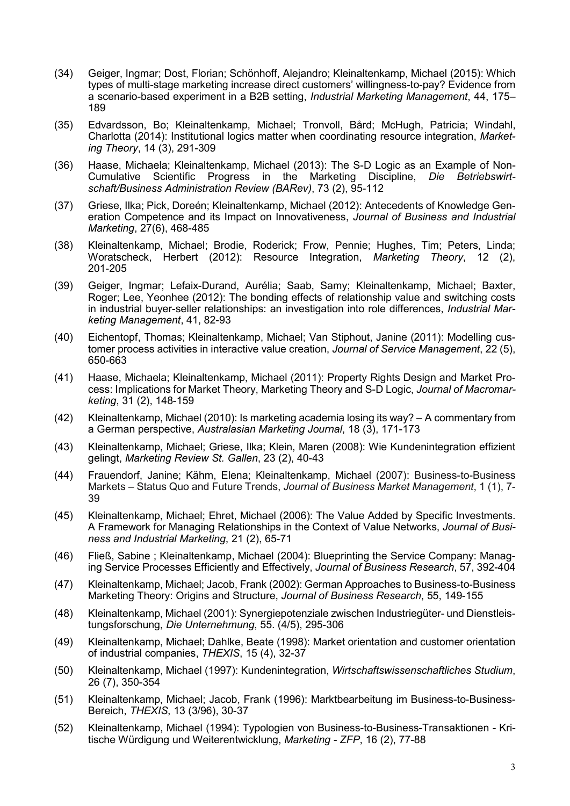- (34) Geiger, Ingmar; Dost, Florian; Schönhoff, Alejandro; Kleinaltenkamp, Michael (2015): Which types of multi-stage marketing increase direct customers' willingness-to-pay? Evidence from a scenario-based experiment in a B2B setting, *Industrial Marketing Management*, 44, 175– 189
- (35) Edvardsson, Bo; Kleinaltenkamp, Michael; Tronvoll, Bård; McHugh, Patricia; Windahl, Charlotta (2014): Institutional logics matter when coordinating resource integration, *Marketing Theory*, 14 (3), 291-309
- (36) Haase, Michaela; Kleinaltenkamp, Michael (2013): The S-D Logic as an Example of Non-Cumulative Scientific Progress in the Marketing Discipline, *Die Betriebswirtschaft/Business Administration Review (BARev)*, 73 (2), 95-112
- (37) Griese, Ilka; Pick, Doreén; Kleinaltenkamp, Michael (2012): Antecedents of Knowledge Generation Competence and its Impact on Innovativeness, *Journal of Business and Industrial Marketing*, 27(6), 468-485
- (38) Kleinaltenkamp, Michael; Brodie, Roderick; Frow, Pennie; Hughes, Tim; Peters, Linda; Woratscheck, Herbert (2012): Resource Integration, *Marketing Theory*, 12 (2), 201-205
- (39) Geiger, Ingmar; Lefaix-Durand, Aurélia; Saab, Samy; Kleinaltenkamp, Michael; Baxter, Roger; Lee, Yeonhee (2012): The bonding effects of relationship value and switching costs in industrial buyer-seller relationships: an investigation into role differences, *Industrial Marketing Management*, 41, 82-93
- (40) Eichentopf, Thomas; Kleinaltenkamp, Michael; Van Stiphout, Janine (2011): Modelling customer process activities in interactive value creation, *Journal of Service Management*, 22 (5), 650-663
- (41) Haase, Michaela; Kleinaltenkamp, Michael (2011): Property Rights Design and Market Process: Implications for Market Theory, Marketing Theory and S-D Logic, *Journal of Macromarketing*, 31 (2), 148-159
- (42) Kleinaltenkamp, Michael (2010): Is marketing academia losing its way? A commentary from a German perspective, *Australasian Marketing Journal*, 18 (3), 171-173
- (43) Kleinaltenkamp, Michael; Griese, Ilka; Klein, Maren (2008): Wie Kundenintegration effizient gelingt, *Marketing Review St. Gallen*, 23 (2), 40-43
- (44) Frauendorf, Janine; Kähm, Elena; Kleinaltenkamp, Michael (2007): Business-to-Business Markets – Status Quo and Future Trends, *Journal of Business Market Management*, 1 (1), 7- 39
- (45) Kleinaltenkamp, Michael; Ehret, Michael (2006): The Value Added by Specific Investments. A Framework for Managing Relationships in the Context of Value Networks, *Journal of Business and Industrial Marketing*, 21 (2), 65-71
- (46) Fließ, Sabine ; Kleinaltenkamp, Michael (2004): Blueprinting the Service Company: Managing Service Processes Efficiently and Effectively, *Journal of Business Research*, 57, 392-404
- (47) Kleinaltenkamp, Michael; Jacob, Frank (2002): German Approaches to Business-to-Business Marketing Theory: Origins and Structure, *Journal of Business Research*, 55, 149-155
- (48) Kleinaltenkamp, Michael (2001): Synergiepotenziale zwischen Industriegüter- und Dienstleistungsforschung, *Die Unternehmung*, 55. (4/5), 295-306
- (49) Kleinaltenkamp, Michael; Dahlke, Beate (1998): Market orientation and customer orientation of industrial companies, *THEXIS*, 15 (4), 32-37
- (50) Kleinaltenkamp, Michael (1997): Kundenintegration, *Wirtschaftswissenschaftliches Studium*, 26 (7), 350-354
- (51) Kleinaltenkamp, Michael; Jacob, Frank (1996): Marktbearbeitung im Business-to-Business-Bereich, *THEXIS*, 13 (3/96), 30-37
- (52) Kleinaltenkamp, Michael (1994): Typologien von Business-to-Business-Transaktionen Kritische Würdigung und Weiterentwicklung, *Marketing - ZFP*, 16 (2), 77-88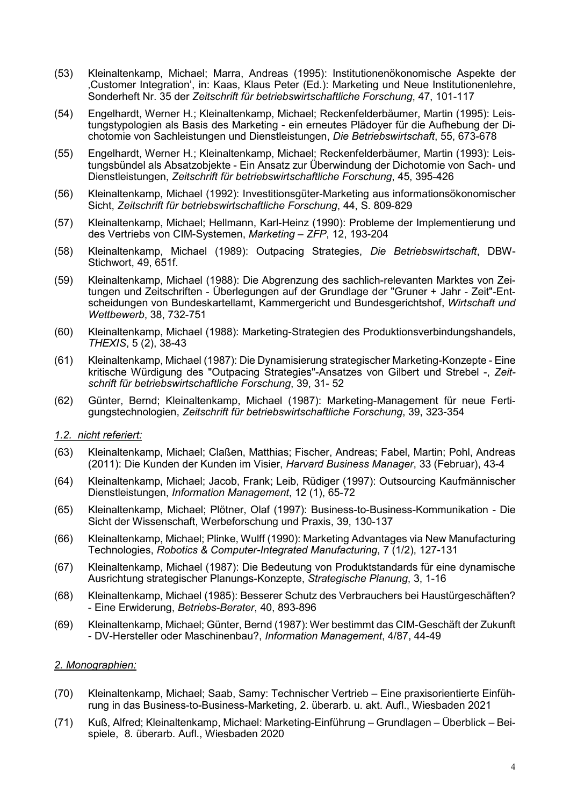- (53) Kleinaltenkamp, Michael; Marra, Andreas (1995): Institutionenökonomische Aspekte der 'Customer Integration', in: Kaas, Klaus Peter (Ed.): Marketing und Neue Institutionenlehre, Sonderheft Nr. 35 der *Zeitschrift für betriebswirtschaftliche Forschung*, 47, 101-117
- (54) Engelhardt, Werner H.; Kleinaltenkamp, Michael; Reckenfelderbäumer, Martin (1995): Leistungstypologien als Basis des Marketing - ein erneutes Plädoyer für die Aufhebung der Dichotomie von Sachleistungen und Dienstleistungen, *Die Betriebswirtschaft*, 55, 673-678
- (55) Engelhardt, Werner H.; Kleinaltenkamp, Michael; Reckenfelderbäumer, Martin (1993): Leistungsbündel als Absatzobjekte - Ein Ansatz zur Überwindung der Dichotomie von Sach- und Dienstleistungen, *Zeitschrift für betriebswirtschaftliche Forschung*, 45, 395-426
- (56) Kleinaltenkamp, Michael (1992): Investitionsgüter-Marketing aus informationsökonomischer Sicht, *Zeitschrift für betriebswirtschaftliche Forschung*, 44, S. 809-829
- (57) Kleinaltenkamp, Michael; Hellmann, Karl-Heinz (1990): Probleme der Implementierung und des Vertriebs von CIM-Systemen, *Marketing – ZFP*, 12, 193-204
- (58) Kleinaltenkamp, Michael (1989): Outpacing Strategies, *Die Betriebswirtschaft*, DBW-Stichwort, 49, 651f.
- (59) Kleinaltenkamp, Michael (1988): Die Abgrenzung des sachlich-relevanten Marktes von Zeitungen und Zeitschriften - Überlegungen auf der Grundlage der "Gruner + Jahr - Zeit"-Entscheidungen von Bundeskartellamt, Kammergericht und Bundesgerichtshof, *Wirtschaft und Wettbewerb*, 38, 732-751
- (60) Kleinaltenkamp, Michael (1988): Marketing-Strategien des Produktionsverbindungshandels, *THEXIS*, 5 (2), 38-43
- (61) Kleinaltenkamp, Michael (1987): Die Dynamisierung strategischer Marketing-Konzepte Eine kritische Würdigung des "Outpacing Strategies"-Ansatzes von Gilbert und Strebel -, *Zeitschrift für betriebswirtschaftliche Forschung*, 39, 31- 52
- (62) Günter, Bernd; Kleinaltenkamp, Michael (1987): Marketing-Management für neue Fertigungstechnologien, *Zeitschrift für betriebswirtschaftliche Forschung*, 39, 323-354

### *1.2. nicht referiert:*

- (63) Kleinaltenkamp, Michael; Claßen, Matthias; Fischer, Andreas; Fabel, Martin; Pohl, Andreas (2011): Die Kunden der Kunden im Visier, *Harvard Business Manager*, 33 (Februar), 43-4
- (64) Kleinaltenkamp, Michael; Jacob, Frank; Leib, Rüdiger (1997): Outsourcing Kaufmännischer Dienstleistungen, *Information Management*, 12 (1), 65-72
- (65) Kleinaltenkamp, Michael; Plötner, Olaf (1997): Business-to-Business-Kommunikation Die Sicht der Wissenschaft, Werbeforschung und Praxis, 39, 130-137
- (66) Kleinaltenkamp, Michael; Plinke, Wulff (1990): Marketing Advantages via New Manufacturing Technologies, *Robotics & Computer-Integrated Manufacturing*, 7 (1/2), 127-131
- (67) Kleinaltenkamp, Michael (1987): Die Bedeutung von Produktstandards für eine dynamische Ausrichtung strategischer Planungs-Konzepte, *Strategische Planung*, 3, 1-16
- (68) Kleinaltenkamp, Michael (1985): Besserer Schutz des Verbrauchers bei Haustürgeschäften? - Eine Erwiderung, *Betriebs-Berater*, 40, 893-896
- (69) Kleinaltenkamp, Michael; Günter, Bernd (1987): Wer bestimmt das CIM-Geschäft der Zukunft - DV-Hersteller oder Maschinenbau?, *Information Management*, 4/87, 44-49

### *2. Monographien:*

- (70) Kleinaltenkamp, Michael; Saab, Samy: Technischer Vertrieb Eine praxisorientierte Einführung in das Business-to-Business-Marketing, 2. überarb. u. akt. Aufl., Wiesbaden 2021
- (71) Kuß, Alfred; Kleinaltenkamp, Michael: Marketing-Einführung Grundlagen Überblick Beispiele, 8. überarb. Aufl., Wiesbaden 2020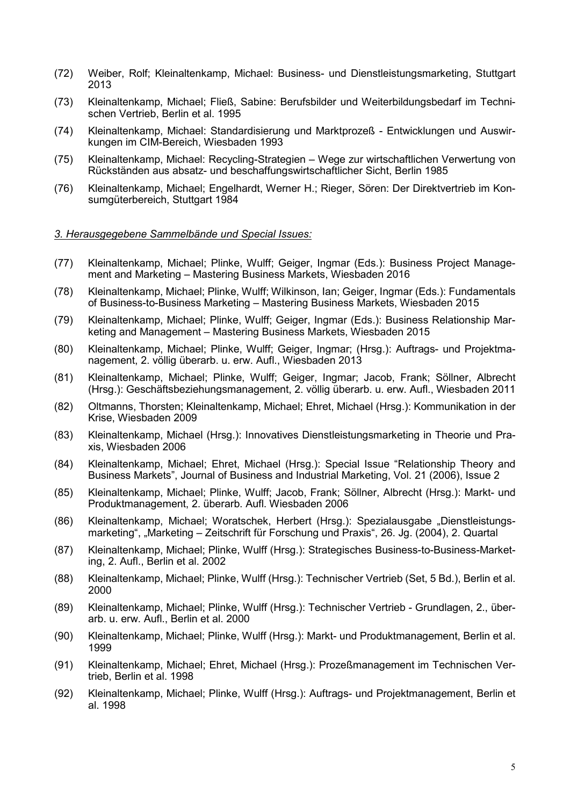- (72) Weiber, Rolf; Kleinaltenkamp, Michael: Business- und Dienstleistungsmarketing, Stuttgart 2013
- (73) Kleinaltenkamp, Michael; Fließ, Sabine: Berufsbilder und Weiterbildungsbedarf im Technischen Vertrieb, Berlin et al. 1995
- (74) Kleinaltenkamp, Michael: Standardisierung und Marktprozeß Entwicklungen und Auswirkungen im CIM-Bereich, Wiesbaden 1993
- (75) Kleinaltenkamp, Michael: Recycling-Strategien Wege zur wirtschaftlichen Verwertung von Rückständen aus absatz- und beschaffungswirtschaftlicher Sicht, Berlin 1985
- (76) Kleinaltenkamp, Michael; Engelhardt, Werner H.; Rieger, Sören: Der Direktvertrieb im Konsumgüterbereich, Stuttgart 1984

#### *3. Herausgegebene Sammelbände und Special Issues:*

- (77) Kleinaltenkamp, Michael; Plinke, Wulff; Geiger, Ingmar (Eds.): Business Project Management and Marketing – Mastering Business Markets, Wiesbaden 2016
- (78) Kleinaltenkamp, Michael; Plinke, Wulff; Wilkinson, Ian; Geiger, Ingmar (Eds.): Fundamentals of Business-to-Business Marketing – Mastering Business Markets, Wiesbaden 2015
- (79) Kleinaltenkamp, Michael; Plinke, Wulff; Geiger, Ingmar (Eds.): Business Relationship Marketing and Management – Mastering Business Markets, Wiesbaden 2015
- (80) Kleinaltenkamp, Michael; Plinke, Wulff; Geiger, Ingmar; (Hrsg.): Auftrags- und Projektmanagement, 2. völlig überarb. u. erw. Aufl., Wiesbaden 2013
- (81) Kleinaltenkamp, Michael; Plinke, Wulff; Geiger, Ingmar; Jacob, Frank; Söllner, Albrecht (Hrsg.): Geschäftsbeziehungsmanagement, 2. völlig überarb. u. erw. Aufl., Wiesbaden 2011
- (82) Oltmanns, Thorsten; Kleinaltenkamp, Michael; Ehret, Michael (Hrsg.): Kommunikation in der Krise, Wiesbaden 2009
- (83) Kleinaltenkamp, Michael (Hrsg.): Innovatives Dienstleistungsmarketing in Theorie und Praxis, Wiesbaden 2006
- (84) Kleinaltenkamp, Michael; Ehret, Michael (Hrsg.): Special Issue "Relationship Theory and Business Markets", Journal of Business and Industrial Marketing, Vol. 21 (2006), Issue 2
- (85) Kleinaltenkamp, Michael; Plinke, Wulff; Jacob, Frank; Söllner, Albrecht (Hrsg.): Markt- und Produktmanagement, 2. überarb. Aufl. Wiesbaden 2006
- (86) Kleinaltenkamp, Michael; Woratschek, Herbert (Hrsg.); Spezialausgabe "Dienstleistungsmarketing", "Marketing – Zeitschrift für Forschung und Praxis", 26. Jg. (2004), 2. Quartal
- (87) Kleinaltenkamp, Michael; Plinke, Wulff (Hrsg.): Strategisches Business-to-Business-Marketing, 2. Aufl., Berlin et al. 2002
- (88) Kleinaltenkamp, Michael; Plinke, Wulff (Hrsg.): Technischer Vertrieb (Set, 5 Bd.), Berlin et al. 2000
- (89) Kleinaltenkamp, Michael; Plinke, Wulff (Hrsg.): Technischer Vertrieb Grundlagen, 2., überarb. u. erw. Aufl., Berlin et al. 2000
- (90) Kleinaltenkamp, Michael; Plinke, Wulff (Hrsg.): Markt- und Produktmanagement, Berlin et al. 1999
- (91) Kleinaltenkamp, Michael; Ehret, Michael (Hrsg.): Prozeßmanagement im Technischen Vertrieb, Berlin et al. 1998
- (92) Kleinaltenkamp, Michael; Plinke, Wulff (Hrsg.): Auftrags- und Projektmanagement, Berlin et al. 1998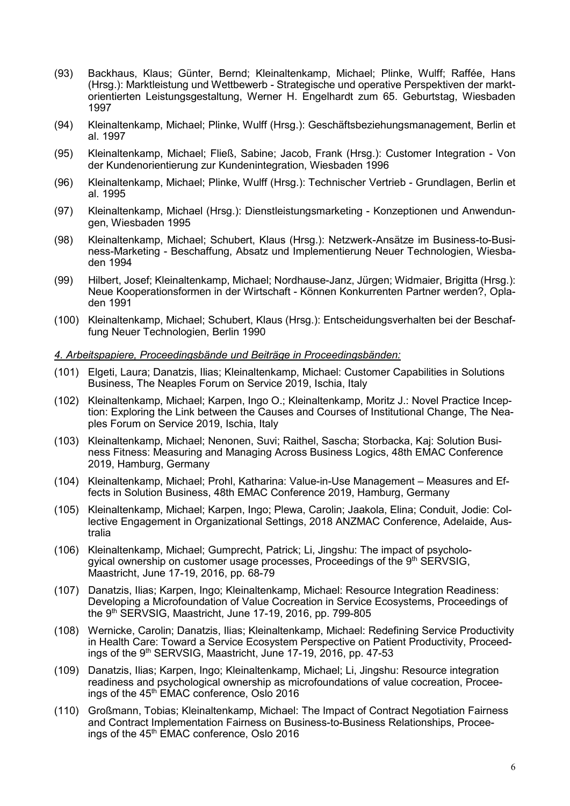- (93) Backhaus, Klaus; Günter, Bernd; Kleinaltenkamp, Michael; Plinke, Wulff; Raffée, Hans (Hrsg.): Marktleistung und Wettbewerb - Strategische und operative Perspektiven der marktorientierten Leistungsgestaltung, Werner H. Engelhardt zum 65. Geburtstag, Wiesbaden 1997
- (94) Kleinaltenkamp, Michael; Plinke, Wulff (Hrsg.): Geschäftsbeziehungsmanagement, Berlin et al. 1997
- (95) Kleinaltenkamp, Michael; Fließ, Sabine; Jacob, Frank (Hrsg.): Customer Integration Von der Kundenorientierung zur Kundenintegration, Wiesbaden 1996
- (96) Kleinaltenkamp, Michael; Plinke, Wulff (Hrsg.): Technischer Vertrieb Grundlagen, Berlin et al. 1995
- (97) Kleinaltenkamp, Michael (Hrsg.): Dienstleistungsmarketing Konzeptionen und Anwendungen, Wiesbaden 1995
- (98) Kleinaltenkamp, Michael; Schubert, Klaus (Hrsg.): Netzwerk-Ansätze im Business-to-Business-Marketing - Beschaffung, Absatz und Implementierung Neuer Technologien, Wiesbaden 1994
- (99) Hilbert, Josef; Kleinaltenkamp, Michael; Nordhause-Janz, Jürgen; Widmaier, Brigitta (Hrsg.): Neue Kooperationsformen in der Wirtschaft - Können Konkurrenten Partner werden?, Opladen 1991
- (100) Kleinaltenkamp, Michael; Schubert, Klaus (Hrsg.): Entscheidungsverhalten bei der Beschaffung Neuer Technologien, Berlin 1990

#### *4. Arbeitspapiere, Proceedingsbände und Beiträge in Proceedingsbänden:*

- (101) Elgeti, Laura; Danatzis, Ilias; Kleinaltenkamp, Michael: Customer Capabilities in Solutions Business, The Neaples Forum on Service 2019, Ischia, Italy
- (102) Kleinaltenkamp, Michael; Karpen, Ingo O.; Kleinaltenkamp, Moritz J.: Novel Practice Inception: Exploring the Link between the Causes and Courses of Institutional Change, The Neaples Forum on Service 2019, Ischia, Italy
- (103) Kleinaltenkamp, Michael; Nenonen, Suvi; Raithel, Sascha; Storbacka, Kaj: Solution Business Fitness: Measuring and Managing Across Business Logics, 48th EMAC Conference 2019, Hamburg, Germany
- (104) Kleinaltenkamp, Michael; Prohl, Katharina: Value-in-Use Management Measures and Effects in Solution Business, 48th EMAC Conference 2019, Hamburg, Germany
- (105) Kleinaltenkamp, Michael; Karpen, Ingo; Plewa, Carolin; Jaakola, Elina; Conduit, Jodie: Collective Engagement in Organizational Settings, 2018 ANZMAC Conference, Adelaide, Australia
- (106) Kleinaltenkamp, Michael; Gumprecht, Patrick; Li, Jingshu: The impact of psychologyical ownership on customer usage processes, Proceedings of the 9<sup>th</sup> SERVSIG, Maastricht, June 17-19, 2016, pp. 68-79
- (107) Danatzis, Ilias; Karpen, Ingo; Kleinaltenkamp, Michael: Resource Integration Readiness: Developing a Microfoundation of Value Cocreation in Service Ecosystems, Proceedings of the 9th SERVSIG, Maastricht, June 17-19, 2016, pp. 799-805
- (108) Wernicke, Carolin; Danatzis, Ilias; Kleinaltenkamp, Michael: Redefining Service Productivity in Health Care: Toward a Service Ecosystem Perspective on Patient Productivity, Proceedings of the 9<sup>th</sup> SERVSIG, Maastricht, June 17-19, 2016, pp. 47-53
- (109) Danatzis, Ilias; Karpen, Ingo; Kleinaltenkamp, Michael; Li, Jingshu: Resource integration readiness and psychological ownership as microfoundations of value cocreation, Proceeings of the 45<sup>th</sup> EMAC conference, Oslo 2016
- (110) Großmann, Tobias; Kleinaltenkamp, Michael: The Impact of Contract Negotiation Fairness and Contract Implementation Fairness on Business-to-Business Relationships, Proceeings of the 45<sup>th</sup> EMAC conference, Oslo 2016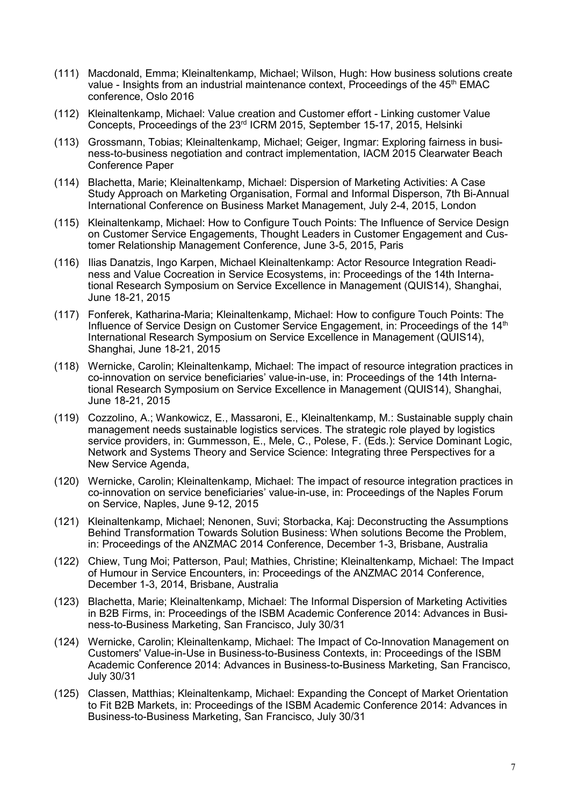- (111) Macdonald, Emma; Kleinaltenkamp, Michael; Wilson, Hugh: How business solutions create value - Insights from an industrial maintenance context, Proceedings of the 45<sup>th</sup> EMAC conference, Oslo 2016
- (112) Kleinaltenkamp, Michael: Value creation and Customer effort Linking customer Value Concepts, Proceedings of the 23rd ICRM 2015, September 15-17, 2015, Helsinki
- (113) Grossmann, Tobias; Kleinaltenkamp, Michael; Geiger, Ingmar: Exploring fairness in business-to-business negotiation and contract implementation, IACM 2015 Clearwater Beach Conference Paper
- (114) Blachetta, Marie; Kleinaltenkamp, Michael: Dispersion of Marketing Activities: A Case Study Approach on Marketing Organisation, Formal and Informal Disperson, 7th Bi-Annual International Conference on Business Market Management, July 2-4, 2015, London
- (115) Kleinaltenkamp, Michael: How to Configure Touch Points: The Influence of Service Design on Customer Service Engagements, Thought Leaders in Customer Engagement and Customer Relationship Management Conference, June 3-5, 2015, Paris
- (116) Ilias Danatzis, Ingo Karpen, Michael Kleinaltenkamp: Actor Resource Integration Readiness and Value Cocreation in Service Ecosystems, in: Proceedings of the 14th International Research Symposium on Service Excellence in Management (QUIS14), Shanghai, June 18-21, 2015
- (117) Fonferek, Katharina-Maria; Kleinaltenkamp, Michael: How to configure Touch Points: The Influence of Service Design on Customer Service Engagement, in: Proceedings of the 14<sup>th</sup> International Research Symposium on Service Excellence in Management (QUIS14), Shanghai, June 18-21, 2015
- (118) Wernicke, Carolin; Kleinaltenkamp, Michael: The impact of resource integration practices in co-innovation on service beneficiaries' value-in-use, in: Proceedings of the 14th International Research Symposium on Service Excellence in Management (QUIS14), Shanghai, June 18-21, 2015
- (119) Cozzolino, A.; Wankowicz, E., Massaroni, E., Kleinaltenkamp, M.: Sustainable supply chain management needs sustainable logistics services. The strategic role played by logistics service providers, in: Gummesson, E., Mele, C., Polese, F. (Eds.): Service Dominant Logic, Network and Systems Theory and Service Science: Integrating three Perspectives for a New Service Agenda,
- (120) Wernicke, Carolin; Kleinaltenkamp, Michael: The impact of resource integration practices in co-innovation on service beneficiaries' value-in-use, in: Proceedings of the Naples Forum on Service, Naples, June 9-12, 2015
- (121) Kleinaltenkamp, Michael; Nenonen, Suvi; Storbacka, Kaj: Deconstructing the Assumptions Behind Transformation Towards Solution Business: When solutions Become the Problem, in: Proceedings of the ANZMAC 2014 Conference, December 1-3, Brisbane, Australia
- (122) Chiew, Tung Moi; Patterson, Paul; Mathies, Christine; Kleinaltenkamp, Michael: The Impact of Humour in Service Encounters, in: Proceedings of the ANZMAC 2014 Conference, December 1-3, 2014, Brisbane, Australia
- (123) Blachetta, Marie; Kleinaltenkamp, Michael: The Informal Dispersion of Marketing Activities in B2B Firms, in: Proceedings of the ISBM Academic Conference 2014: Advances in Business-to-Business Marketing, San Francisco, July 30/31
- (124) Wernicke, Carolin; Kleinaltenkamp, Michael: The Impact of Co-Innovation Management on Customers' Value-in-Use in Business-to-Business Contexts, in: Proceedings of the ISBM Academic Conference 2014: Advances in Business-to-Business Marketing, San Francisco, July 30/31
- (125) Classen, Matthias; Kleinaltenkamp, Michael: Expanding the Concept of Market Orientation to Fit B2B Markets, in: Proceedings of the ISBM Academic Conference 2014: Advances in Business-to-Business Marketing, San Francisco, July 30/31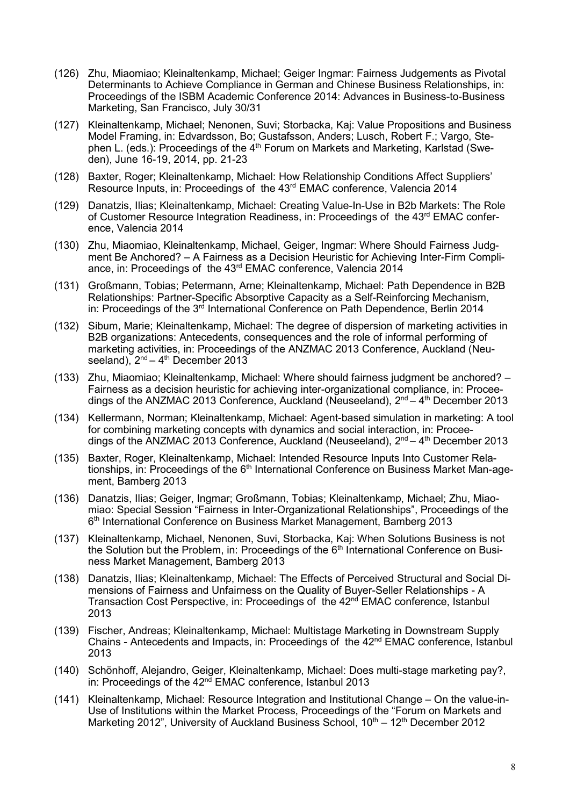- (126) Zhu, Miaomiao; Kleinaltenkamp, Michael; Geiger Ingmar: Fairness Judgements as Pivotal Determinants to Achieve Compliance in German and Chinese Business Relationships, in: Proceedings of the ISBM Academic Conference 2014: Advances in Business-to-Business Marketing, San Francisco, July 30/31
- (127) Kleinaltenkamp, Michael; Nenonen, Suvi; Storbacka, Kaj: Value Propositions and Business Model Framing, in: Edvardsson, Bo; Gustafsson, Anders; Lusch, Robert F.; Vargo, Stephen L. (eds.): Proceedings of the 4<sup>th</sup> Forum on Markets and Marketing, Karlstad (Sweden), June 16-19, 2014, pp. 21-23
- (128) Baxter, Roger; Kleinaltenkamp, Michael: How Relationship Conditions Affect Suppliers' Resource Inputs, in: Proceedings of the 43<sup>rd</sup> EMAC conference, Valencia 2014
- (129) Danatzis, Ilias; Kleinaltenkamp, Michael: Creating Value-In-Use in B2b Markets: The Role of Customer Resource Integration Readiness, in: Proceedings of the 43<sup>rd</sup> EMAC conference, Valencia 2014
- (130) Zhu, Miaomiao, Kleinaltenkamp, Michael, Geiger, Ingmar: Where Should Fairness Judgment Be Anchored? – A Fairness as a Decision Heuristic for Achieving Inter-Firm Compliance, in: Proceedings of the 43rd EMAC conference, Valencia 2014
- (131) Großmann, Tobias; Petermann, Arne; Kleinaltenkamp, Michael: Path Dependence in B2B Relationships: Partner-Specific Absorptive Capacity as a Self-Reinforcing Mechanism, in: Proceedings of the 3<sup>rd</sup> International Conference on Path Dependence, Berlin 2014
- (132) Sibum, Marie; Kleinaltenkamp, Michael: The degree of dispersion of marketing activities in B2B organizations: Antecedents, consequences and the role of informal performing of marketing activities, in: Proceedings of the ANZMAC 2013 Conference, Auckland (Neuseeland),  $2<sup>nd</sup> - 4<sup>th</sup>$  December 2013
- (133) Zhu, Miaomiao; Kleinaltenkamp, Michael: Where should fairness judgment be anchored? Fairness as a decision heuristic for achieving inter-organizational compliance, in: Proceedings of the ANZMAC 2013 Conference, Auckland (Neuseeland),  $2^{nd} - 4^{th}$  December 2013
- (134) Kellermann, Norman; Kleinaltenkamp, Michael: Agent-based simulation in marketing: A tool for combining marketing concepts with dynamics and social interaction, in: Proceedings of the ANZMAC 2013 Conference, Auckland (Neuseeland), 2<sup>nd</sup> – 4<sup>th</sup> December 2013
- (135) Baxter, Roger, Kleinaltenkamp, Michael: Intended Resource Inputs Into Customer Relationships, in: Proceedings of the 6<sup>th</sup> International Conference on Business Market Man-agement, Bamberg 2013
- (136) Danatzis, Ilias; Geiger, Ingmar; Großmann, Tobias; Kleinaltenkamp, Michael; Zhu, Miaomiao: Special Session "Fairness in Inter-Organizational Relationships", Proceedings of the 6th International Conference on Business Market Management, Bamberg 2013
- (137) Kleinaltenkamp, Michael, Nenonen, Suvi, Storbacka, Kaj: When Solutions Business is not the Solution but the Problem, in: Proceedings of the  $6<sup>th</sup>$  International Conference on Business Market Management, Bamberg 2013
- (138) Danatzis, Ilias; Kleinaltenkamp, Michael: The Effects of Perceived Structural and Social Dimensions of Fairness and Unfairness on the Quality of Buyer-Seller Relationships - A Transaction Cost Perspective, in: Proceedings of the 42<sup>nd</sup> EMAC conference, Istanbul 2013
- (139) Fischer, Andreas; Kleinaltenkamp, Michael: Multistage Marketing in Downstream Supply Chains - Antecedents and Impacts, in: Proceedings of the 42nd EMAC conference, Istanbul 2013
- (140) Schönhoff, Alejandro, Geiger, Kleinaltenkamp, Michael: Does multi-stage marketing pay?, in: Proceedings of the 42<sup>nd</sup> EMAC conference, Istanbul 2013
- (141) Kleinaltenkamp, Michael: Resource Integration and Institutional Change On the value-in-Use of Institutions within the Market Process, Proceedings of the "Forum on Markets and Marketing 2012", University of Auckland Business School,  $10^{th} - 12^{th}$  December 2012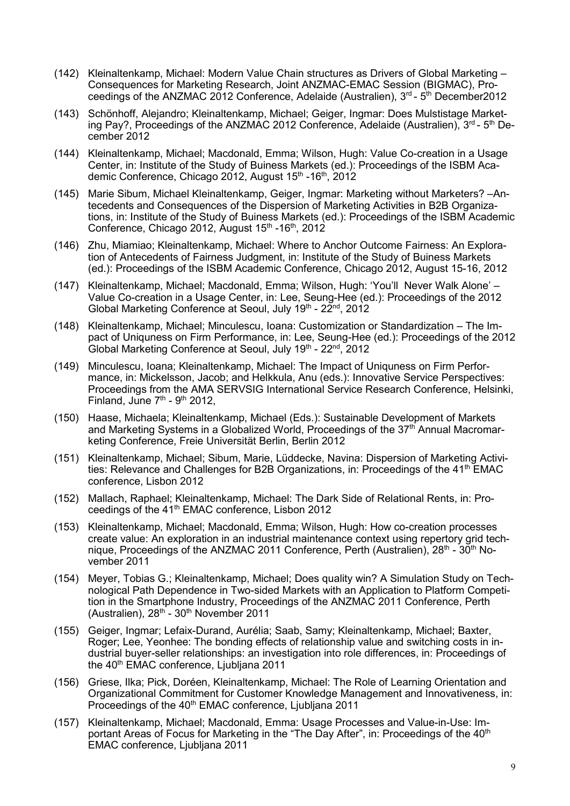- (142) Kleinaltenkamp, Michael: Modern Value Chain structures as Drivers of Global Marketing Consequences for Marketing Research, Joint ANZMAC-EMAC Session (BIGMAC), Proceedings of the ANZMAC 2012 Conference, Adelaide (Australien),  $3<sup>rd</sup>$  -  $5<sup>th</sup>$  December2012
- (143) Schönhoff, Alejandro; Kleinaltenkamp, Michael; Geiger, Ingmar: Does Mulstistage Marketing Pay?, Proceedings of the ANZMAC 2012 Conference, Adelaide (Australien),  $3<sup>rd</sup>$  -  $5<sup>th</sup>$  December 2012
- (144) Kleinaltenkamp, Michael; Macdonald, Emma; Wilson, Hugh: Value Co-creation in a Usage Center, in: Institute of the Study of Buiness Markets (ed.): Proceedings of the ISBM Academic Conference, Chicago 2012, August 15<sup>th</sup> -16<sup>th</sup>, 2012
- (145) Marie Sibum, Michael Kleinaltenkamp, Geiger, Ingmar: Marketing without Marketers? –Antecedents and Consequences of the Dispersion of Marketing Activities in B2B Organizations, in: Institute of the Study of Buiness Markets (ed.): Proceedings of the ISBM Academic Conference, Chicago 2012, August 15<sup>th</sup> -16<sup>th</sup>, 2012
- (146) Zhu, Miamiao; Kleinaltenkamp, Michael: Where to Anchor Outcome Fairness: An Exploration of Antecedents of Fairness Judgment, in: Institute of the Study of Buiness Markets (ed.): Proceedings of the ISBM Academic Conference, Chicago 2012, August 15-16, 2012
- (147) Kleinaltenkamp, Michael; Macdonald, Emma; Wilson, Hugh: 'You'll Never Walk Alone' Value Co-creation in a Usage Center, in: Lee, Seung-Hee (ed.): Proceedings of the 2012 Global Marketing Conference at Seoul, July 19th - 22nd, 2012
- (148) Kleinaltenkamp, Michael; Minculescu, Ioana: Customization or Standardization The Impact of Uniquness on Firm Performance, in: Lee, Seung-Hee (ed.): Proceedings of the 2012 Global Marketing Conference at Seoul, July 19th - 22nd, 2012
- (149) Minculescu, Ioana; Kleinaltenkamp, Michael: The Impact of Uniquness on Firm Performance, in: Mickelsson, Jacob; and Helkkula, Anu (eds.): Innovative Service Perspectives: Proceedings from the AMA SERVSIG International Service Research Conference, Helsinki, Finland, June  $7<sup>th</sup>$  - 9<sup>th</sup> 2012.
- (150) Haase, Michaela; Kleinaltenkamp, Michael (Eds.): Sustainable Development of Markets and Marketing Systems in a Globalized World, Proceedings of the 37<sup>th</sup> Annual Macromarketing Conference, Freie Universität Berlin, Berlin 2012
- (151) Kleinaltenkamp, Michael; Sibum, Marie, Lüddecke, Navina: Dispersion of Marketing Activities: Relevance and Challenges for B2B Organizations, in: Proceedings of the 41<sup>th</sup> EMAC conference, Lisbon 2012
- (152) Mallach, Raphael; Kleinaltenkamp, Michael: The Dark Side of Relational Rents, in: Proceedings of the 41th EMAC conference, Lisbon 2012
- (153) Kleinaltenkamp, Michael; Macdonald, Emma; Wilson, Hugh: How co-creation processes create value: An exploration in an industrial maintenance context using repertory grid technique, Proceedings of the ANZMAC 2011 Conference, Perth (Australien),  $28<sup>th</sup> - 30<sup>th</sup>$  November 2011
- (154) Meyer, Tobias G.; Kleinaltenkamp, Michael; Does quality win? A Simulation Study on Technological Path Dependence in Two-sided Markets with an Application to Platform Competition in the Smartphone Industry, Proceedings of the ANZMAC 2011 Conference, Perth (Australien), 28<sup>th</sup> - 30<sup>th</sup> November 2011
- (155) Geiger, Ingmar; Lefaix-Durand, Aurélia; Saab, Samy; Kleinaltenkamp, Michael; Baxter, Roger; Lee, Yeonhee: The bonding effects of relationship value and switching costs in industrial buyer-seller relationships: an investigation into role differences, in: Proceedings of the 40<sup>th</sup> EMAC conference, Ljubljana 2011
- (156) Griese, Ilka; Pick, Doréen, Kleinaltenkamp, Michael: The Role of Learning Orientation and Organizational Commitment for Customer Knowledge Management and Innovativeness, in: Proceedings of the 40<sup>th</sup> EMAC conference, Ljubljana 2011
- (157) Kleinaltenkamp, Michael; Macdonald, Emma: Usage Processes and Value-in-Use: Important Areas of Focus for Marketing in the "The Day After", in: Proceedings of the 40<sup>th</sup> EMAC conference, Ljubljana 2011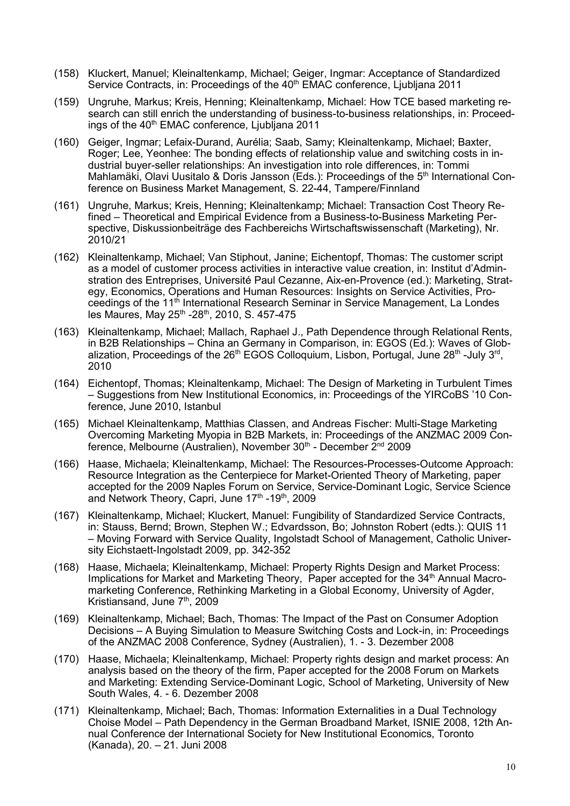- (158) Kluckert, Manuel; Kleinaltenkamp, Michael; Geiger, Ingmar: Acceptance of Standardized Service Contracts, in: Proceedings of the 40<sup>th</sup> EMAC conference, Ljubljana 2011
- (159) Ungruhe, Markus; Kreis, Henning; Kleinaltenkamp, Michael: How TCE based marketing research can still enrich the understanding of business-to-business relationships, in: Proceedings of the 40<sup>th</sup> EMAC conference, Ljubljana 2011
- (160) Geiger, Ingmar; Lefaix-Durand, Aurélia; Saab, Samy; Kleinaltenkamp, Michael; Baxter, Roger; Lee, Yeonhee: The bonding effects of relationship value and switching costs in industrial buyer-seller relationships: An investigation into role differences, in: Tommi Mahlamäki, Olavi Uusitalo & Doris Jansson (Eds.): Proceedings of the 5<sup>th</sup> International Conference on Business Market Management, S. 22-44, Tampere/Finnland
- (161) Ungruhe, Markus; Kreis, Henning; Kleinaltenkamp; Michael: Transaction Cost Theory Refined – Theoretical and Empirical Evidence from a Business-to-Business Marketing Perspective, Diskussionbeiträge des Fachbereichs Wirtschaftswissenschaft (Marketing), Nr. 2010/21
- (162) Kleinaltenkamp, Michael; Van Stiphout, Janine; Eichentopf, Thomas: The customer script as a model of customer process activities in interactive value creation, in: Institut d'Adminstration des Entreprises, Université Paul Cezanne, Aix-en-Provence (ed.): Marketing, Strategy, Economics, Operations and Human Resources: Insights on Service Activities, Proceedings of the 11th International Research Seminar in Service Management, La Londes les Maures, May 25th -28th, 2010, S. 457-475
- (163) Kleinaltenkamp, Michael; Mallach, Raphael J., Path Dependence through Relational Rents, in B2B Relationships – China an Germany in Comparison, in: EGOS (Ed.): Waves of Globalization, Proceedings of the  $26<sup>th</sup>$  EGOS Colloquium, Lisbon, Portugal, June  $28<sup>th</sup>$ -July  $3<sup>rd</sup>$ , 2010
- (164) Eichentopf, Thomas; Kleinaltenkamp, Michael: The Design of Marketing in Turbulent Times – Suggestions from New Institutional Economics, in: Proceedings of the YIRCoBS '10 Conference, June 2010, Istanbul
- (165) Michael Kleinaltenkamp, Matthias Classen, and Andreas Fischer: Multi-Stage Marketing Overcoming Marketing Myopia in B2B Markets, in: Proceedings of the ANZMAC 2009 Conference, Melbourne (Australien), November 30<sup>th</sup> - December 2<sup>nd</sup> 2009
- (166) Haase, Michaela; Kleinaltenkamp, Michael: The Resources-Processes-Outcome Approach: Resource Integration as the Centerpiece for Market-Oriented Theory of Marketing, paper accepted for the 2009 Naples Forum on Service, Service-Dominant Logic, Service Science and Network Theory, Capri, June 17<sup>th</sup> -19<sup>th</sup>, 2009
- (167) Kleinaltenkamp, Michael; Kluckert, Manuel: Fungibility of Standardized Service Contracts, in: Stauss, Bernd; Brown, Stephen W.; Edvardsson, Bo; Johnston Robert (edts.): QUIS 11 – Moving Forward with Service Quality, Ingolstadt School of Management, Catholic University Eichstaett-Ingolstadt 2009, pp. 342-352
- (168) Haase, Michaela; Kleinaltenkamp, Michael: Property Rights Design and Market Process: Implications for Market and Marketing Theory, Paper accepted for the 34<sup>th</sup> Annual Macromarketing Conference, Rethinking Marketing in a Global Economy, University of Agder, Kristiansand, June 7<sup>th</sup>, 2009
- (169) Kleinaltenkamp, Michael; Bach, Thomas: The Impact of the Past on Consumer Adoption Decisions – A Buying Simulation to Measure Switching Costs and Lock-in, in: Proceedings of the ANZMAC 2008 Conference, Sydney (Australien), 1. - 3. Dezember 2008
- (170) Haase, Michaela; Kleinaltenkamp, Michael: Property rights design and market process: An analysis based on the theory of the firm, Paper accepted for the 2008 Forum on Markets and Marketing: Extending Service-Dominant Logic, School of Marketing, University of New South Wales, 4. - 6. Dezember 2008
- (171) Kleinaltenkamp, Michael; Bach, Thomas: Information Externalities in a Dual Technology Choise Model – Path Dependency in the German Broadband Market, ISNIE 2008, 12th Annual Conference der International Society for New Institutional Economics, Toronto (Kanada), 20. – 21. Juni 2008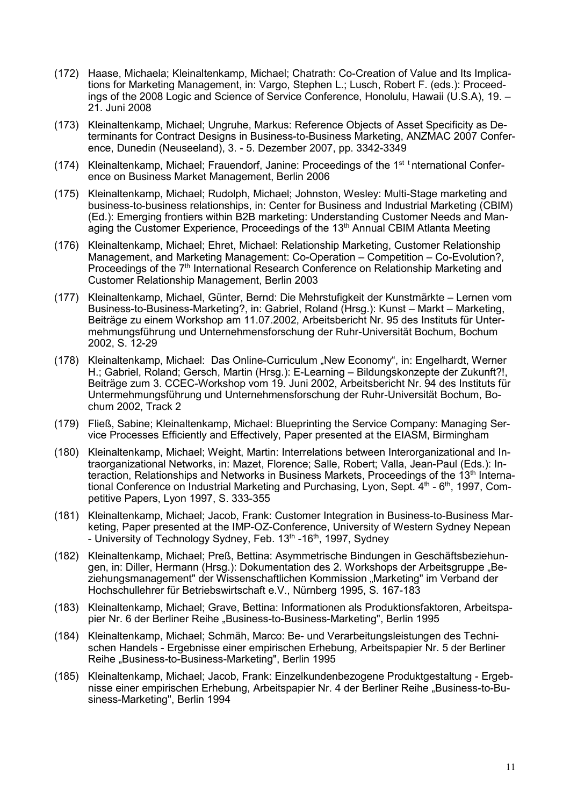- (172) Haase, Michaela; Kleinaltenkamp, Michael; Chatrath: Co-Creation of Value and Its Implications for Marketing Management, in: Vargo, Stephen L.; Lusch, Robert F. (eds.): Proceedings of the 2008 Logic and Science of Service Conference, Honolulu, Hawaii (U.S.A), 19. – 21. Juni 2008
- (173) Kleinaltenkamp, Michael; Ungruhe, Markus: Reference Objects of Asset Specificity as Determinants for Contract Designs in Business-to-Business Marketing, ANZMAC 2007 Conference, Dunedin (Neuseeland), 3. - 5. Dezember 2007, pp. 3342-3349
- (174) Kleinaltenkamp, Michael; Frauendorf, Janine: Proceedings of the 1<sup>st t</sup>nternational Conference on Business Market Management, Berlin 2006
- (175) Kleinaltenkamp, Michael; Rudolph, Michael; Johnston, Wesley: Multi-Stage marketing and business-to-business relationships, in: Center for Business and Industrial Marketing (CBIM) (Ed.): Emerging frontiers within B2B marketing: Understanding Customer Needs and Managing the Customer Experience, Proceedings of the 13<sup>th</sup> Annual CBIM Atlanta Meeting
- (176) Kleinaltenkamp, Michael; Ehret, Michael: Relationship Marketing, Customer Relationship Management, and Marketing Management: Co-Operation – Competition – Co-Evolution?, Proceedings of the 7<sup>th</sup> International Research Conference on Relationship Marketing and Customer Relationship Management, Berlin 2003
- (177) Kleinaltenkamp, Michael, Günter, Bernd: Die Mehrstufigkeit der Kunstmärkte Lernen vom Business-to-Business-Marketing?, in: Gabriel, Roland (Hrsg.): Kunst – Markt – Marketing, Beiträge zu einem Workshop am 11.07.2002, Arbeitsbericht Nr. 95 des Instituts für Untermehmungsführung und Unternehmensforschung der Ruhr-Universität Bochum, Bochum 2002, S. 12-29
- (178) Kleinaltenkamp, Michael: Das Online-Curriculum "New Economy", in: Engelhardt, Werner H.; Gabriel, Roland; Gersch, Martin (Hrsg.): E-Learning – Bildungskonzepte der Zukunft?!, Beiträge zum 3. CCEC-Workshop vom 19. Juni 2002, Arbeitsbericht Nr. 94 des Instituts für Untermehmungsführung und Unternehmensforschung der Ruhr-Universität Bochum, Bochum 2002, Track 2
- (179) Fließ, Sabine; Kleinaltenkamp, Michael: Blueprinting the Service Company: Managing Service Processes Efficiently and Effectively, Paper presented at the EIASM, Birmingham
- (180) Kleinaltenkamp, Michael; Weight, Martin: Interrelations between Interorganizational and Intraorganizational Networks, in: Mazet, Florence; Salle, Robert; Valla, Jean-Paul (Eds.): Interaction, Relationships and Networks in Business Markets, Proceedings of the  $13<sup>th</sup>$  International Conference on Industrial Marketing and Purchasing, Lyon, Sept.  $4<sup>th</sup>$  -  $6<sup>th</sup>$ , 1997, Competitive Papers, Lyon 1997, S. 333-355
- (181) Kleinaltenkamp, Michael; Jacob, Frank: Customer Integration in Business-to-Business Marketing, Paper presented at the IMP-OZ-Conference, University of Western Sydney Nepean - University of Technology Sydney, Feb. 13<sup>th</sup> -16<sup>th</sup>, 1997, Sydney
- (182) Kleinaltenkamp, Michael; Preß, Bettina: Asymmetrische Bindungen in Geschäftsbeziehungen, in: Diller, Hermann (Hrsg.): Dokumentation des 2. Workshops der Arbeitsgruppe "Beziehungsmanagement" der Wissenschaftlichen Kommission "Marketing" im Verband der Hochschullehrer für Betriebswirtschaft e.V., Nürnberg 1995, S. 167-183
- (183) Kleinaltenkamp, Michael; Grave, Bettina: Informationen als Produktionsfaktoren, Arbeitspapier Nr. 6 der Berliner Reihe "Business-to-Business-Marketing", Berlin 1995
- (184) Kleinaltenkamp, Michael; Schmäh, Marco: Be- und Verarbeitungsleistungen des Technischen Handels - Ergebnisse einer empirischen Erhebung, Arbeitspapier Nr. 5 der Berliner Reihe "Business-to-Business-Marketing", Berlin 1995
- (185) Kleinaltenkamp, Michael; Jacob, Frank: Einzelkundenbezogene Produktgestaltung Ergebnisse einer empirischen Erhebung, Arbeitspapier Nr. 4 der Berliner Reihe "Business-to-Business-Marketing", Berlin 1994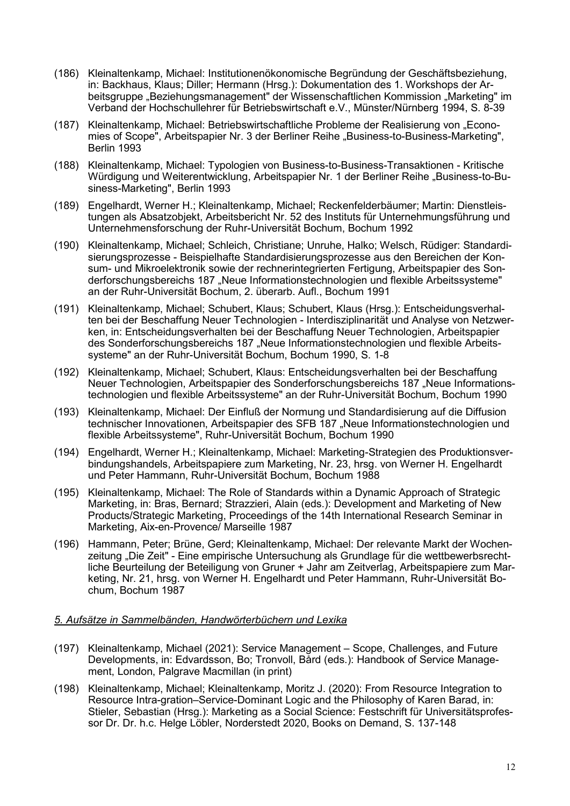- (186) Kleinaltenkamp, Michael: Institutionenökonomische Begründung der Geschäftsbeziehung, in: Backhaus, Klaus; Diller; Hermann (Hrsg.): Dokumentation des 1. Workshops der Arbeitsgruppe "Beziehungsmanagement" der Wissenschaftlichen Kommission "Marketing" im Verband der Hochschullehrer für Betriebswirtschaft e.V., Münster/Nürnberg 1994, S. 8-39
- (187) Kleinaltenkamp, Michael: Betriebswirtschaftliche Probleme der Realisierung von "Economies of Scope", Arbeitspapier Nr. 3 der Berliner Reihe "Business-to-Business-Marketing", Berlin 1993
- (188) Kleinaltenkamp, Michael: Typologien von Business-to-Business-Transaktionen Kritische Würdigung und Weiterentwicklung, Arbeitspapier Nr. 1 der Berliner Reihe "Business-to-Business-Marketing", Berlin 1993
- (189) Engelhardt, Werner H.; Kleinaltenkamp, Michael; Reckenfelderbäumer; Martin: Dienstleistungen als Absatzobjekt, Arbeitsbericht Nr. 52 des Instituts für Unternehmungsführung und Unternehmensforschung der Ruhr-Universität Bochum, Bochum 1992
- (190) Kleinaltenkamp, Michael; Schleich, Christiane; Unruhe, Halko; Welsch, Rüdiger: Standardisierungsprozesse - Beispielhafte Standardisierungsprozesse aus den Bereichen der Konsum- und Mikroelektronik sowie der rechnerintegrierten Fertigung, Arbeitspapier des Sonderforschungsbereichs 187 "Neue Informationstechnologien und flexible Arbeitssysteme" an der Ruhr-Universität Bochum, 2. überarb. Aufl., Bochum 1991
- (191) Kleinaltenkamp, Michael; Schubert, Klaus; Schubert, Klaus (Hrsg.): Entscheidungsverhalten bei der Beschaffung Neuer Technologien - Interdisziplinarität und Analyse von Netzwerken, in: Entscheidungsverhalten bei der Beschaffung Neuer Technologien, Arbeitspapier des Sonderforschungsbereichs 187 "Neue Informationstechnologien und flexible Arbeitssysteme" an der Ruhr-Universität Bochum, Bochum 1990, S. 1-8
- (192) Kleinaltenkamp, Michael; Schubert, Klaus: Entscheidungsverhalten bei der Beschaffung Neuer Technologien, Arbeitspapier des Sonderforschungsbereichs 187 "Neue Informationstechnologien und flexible Arbeitssysteme" an der Ruhr-Universität Bochum, Bochum 1990
- (193) Kleinaltenkamp, Michael: Der Einfluß der Normung und Standardisierung auf die Diffusion technischer Innovationen, Arbeitspapier des SFB 187 "Neue Informationstechnologien und flexible Arbeitssysteme", Ruhr-Universität Bochum, Bochum 1990
- (194) Engelhardt, Werner H.; Kleinaltenkamp, Michael: Marketing-Strategien des Produktionsverbindungshandels, Arbeitspapiere zum Marketing, Nr. 23, hrsg. von Werner H. Engelhardt und Peter Hammann, Ruhr-Universität Bochum, Bochum 1988
- (195) Kleinaltenkamp, Michael: The Role of Standards within a Dynamic Approach of Strategic Marketing, in: Bras, Bernard; Strazzieri, Alain (eds.): Development and Marketing of New Products/Strategic Marketing, Proceedings of the 14th International Research Seminar in Marketing, Aix-en-Provence/ Marseille 1987
- (196) Hammann, Peter; Brüne, Gerd; Kleinaltenkamp, Michael: Der relevante Markt der Wochenzeitung "Die Zeit" - Eine empirische Untersuchung als Grundlage für die wettbewerbsrechtliche Beurteilung der Beteiligung von Gruner + Jahr am Zeitverlag, Arbeitspapiere zum Marketing, Nr. 21, hrsg. von Werner H. Engelhardt und Peter Hammann, Ruhr-Universität Bochum, Bochum 1987

### *5. Aufsätze in Sammelbänden, Handwörterbüchern und Lexika*

- (197) Kleinaltenkamp, Michael (2021): Service Management Scope, Challenges, and Future Developments, in: Edvardsson, Bo; Tronvoll, Bård (eds.): Handbook of Service Management, London, Palgrave Macmillan (in print)
- (198) Kleinaltenkamp, Michael; Kleinaltenkamp, Moritz J. (2020): From Resource Integration to Resource Intra-gration–Service-Dominant Logic and the Philosophy of Karen Barad, in: Stieler, Sebastian (Hrsg.): Marketing as a Social Science: Festschrift für Universitätsprofessor Dr. Dr. h.c. Helge Löbler, Norderstedt 2020, Books on Demand, S. 137-148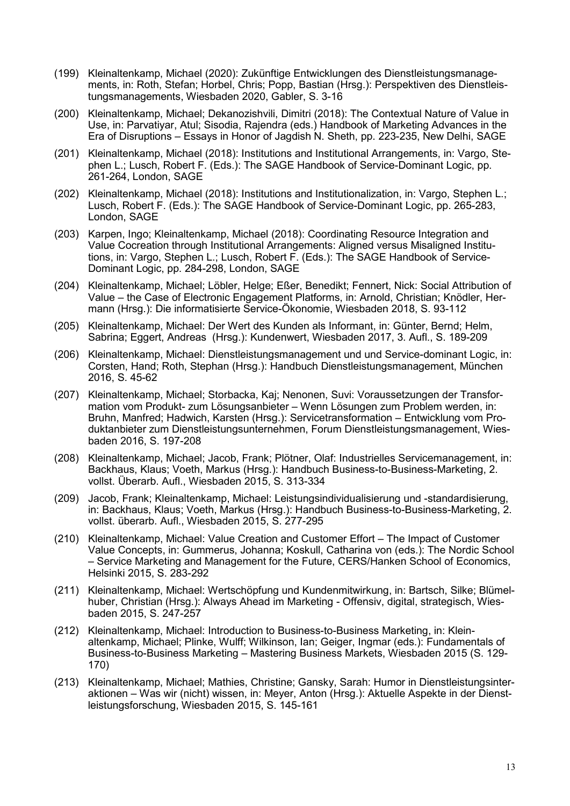- (199) Kleinaltenkamp, Michael (2020): Zukünftige Entwicklungen des Dienstleistungsmanagements, in: Roth, Stefan; Horbel, Chris; Popp, Bastian (Hrsg.): Perspektiven des Dienstleistungsmanagements, Wiesbaden 2020, Gabler, S. 3-16
- (200) Kleinaltenkamp, Michael; Dekanozishvili, Dimitri (2018): The Contextual Nature of Value in Use, in: Parvatiyar, Atul; Sisodia, Rajendra (eds.) Handbook of Marketing Advances in the Era of Disruptions – Essays in Honor of Jagdish N. Sheth, pp. 223-235, New Delhi, SAGE
- (201) Kleinaltenkamp, Michael (2018): Institutions and Institutional Arrangements, in: Vargo, Stephen L.; Lusch, Robert F. (Eds.): The SAGE Handbook of Service-Dominant Logic, pp. 261-264, London, SAGE
- (202) Kleinaltenkamp, Michael (2018): Institutions and Institutionalization, in: Vargo, Stephen L.; Lusch, Robert F. (Eds.): The SAGE Handbook of Service-Dominant Logic, pp. 265-283, London, SAGE
- (203) Karpen, Ingo; Kleinaltenkamp, Michael (2018): Coordinating Resource Integration and Value Cocreation through Institutional Arrangements: Aligned versus Misaligned Institutions, in: Vargo, Stephen L.; Lusch, Robert F. (Eds.): The SAGE Handbook of Service-Dominant Logic, pp. 284-298, London, SAGE
- (204) Kleinaltenkamp, Michael; Löbler, Helge; Eßer, Benedikt; Fennert, Nick: Social Attribution of Value – the Case of Electronic Engagement Platforms, in: Arnold, Christian; Knödler, Hermann (Hrsg.): Die informatisierte Service-Ökonomie, Wiesbaden 2018, S. 93-112
- (205) Kleinaltenkamp, Michael: Der Wert des Kunden als Informant, in: Günter, Bernd; Helm, Sabrina; Eggert, Andreas (Hrsg.): Kundenwert, Wiesbaden 2017, 3. Aufl., S. 189-209
- (206) Kleinaltenkamp, Michael: Dienstleistungsmanagement und und Service-dominant Logic, in: Corsten, Hand; Roth, Stephan (Hrsg.): Handbuch Dienstleistungsmanagement, München 2016, S. 45-62
- (207) Kleinaltenkamp, Michael; Storbacka, Kaj; Nenonen, Suvi: Voraussetzungen der Transformation vom Produkt- zum Lösungsanbieter – Wenn Lösungen zum Problem werden, in: Bruhn, Manfred; Hadwich, Karsten (Hrsg.): Servicetransformation – Entwicklung vom Produktanbieter zum Dienstleistungsunternehmen, Forum Dienstleistungsmanagement, Wiesbaden 2016, S. 197-208
- (208) Kleinaltenkamp, Michael; Jacob, Frank; Plötner, Olaf: Industrielles Servicemanagement, in: Backhaus, Klaus; Voeth, Markus (Hrsg.): Handbuch Business-to-Business-Marketing, 2. vollst. Überarb. Aufl., Wiesbaden 2015, S. 313-334
- (209) Jacob, Frank; Kleinaltenkamp, Michael: Leistungsindividualisierung und -standardisierung, in: Backhaus, Klaus; Voeth, Markus (Hrsg.): Handbuch Business-to-Business-Marketing, 2. vollst. überarb. Aufl., Wiesbaden 2015, S. 277-295
- (210) Kleinaltenkamp, Michael: Value Creation and Customer Effort The Impact of Customer Value Concepts, in: Gummerus, Johanna; Koskull, Catharina von (eds.): The Nordic School – Service Marketing and Management for the Future, CERS/Hanken School of Economics, Helsinki 2015, S. 283-292
- (211) Kleinaltenkamp, Michael: Wertschöpfung und Kundenmitwirkung, in: Bartsch, Silke; Blümelhuber, Christian (Hrsg.): Always Ahead im Marketing - Offensiv, digital, strategisch, Wiesbaden 2015, S. 247-257
- (212) Kleinaltenkamp, Michael: Introduction to Business-to-Business Marketing, in: Kleinaltenkamp, Michael; Plinke, Wulff; Wilkinson, Ian; Geiger, Ingmar (eds.): Fundamentals of Business-to-Business Marketing – Mastering Business Markets, Wiesbaden 2015 (S. 129- 170)
- (213) Kleinaltenkamp, Michael; Mathies, Christine; Gansky, Sarah: Humor in Dienstleistungsinteraktionen – Was wir (nicht) wissen, in: Meyer, Anton (Hrsg.): Aktuelle Aspekte in der Dienstleistungsforschung, Wiesbaden 2015, S. 145-161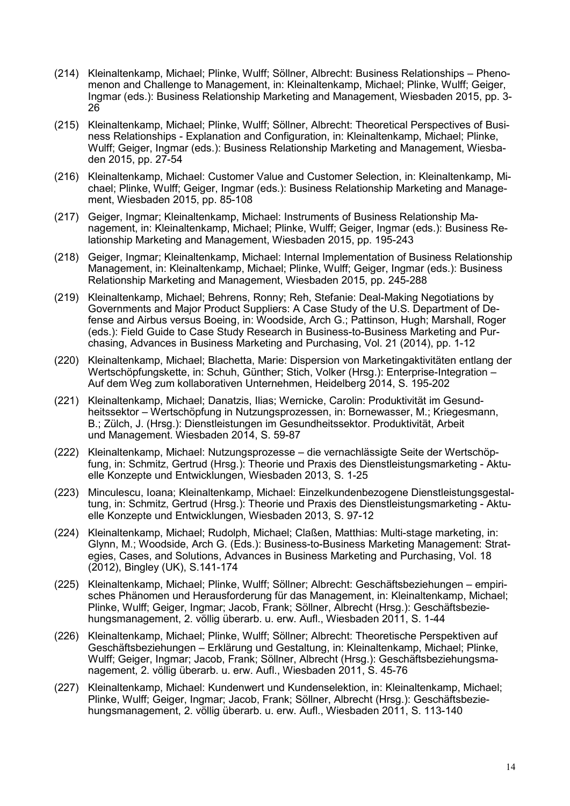- (214) Kleinaltenkamp, Michael; Plinke, Wulff; Söllner, Albrecht: Business Relationships Phenomenon and Challenge to Management, in: Kleinaltenkamp, Michael; Plinke, Wulff; Geiger, Ingmar (eds.): Business Relationship Marketing and Management, Wiesbaden 2015, pp. 3- 26
- (215) Kleinaltenkamp, Michael; Plinke, Wulff; Söllner, Albrecht: Theoretical Perspectives of Business Relationships - Explanation and Configuration, in: Kleinaltenkamp, Michael; Plinke, Wulff; Geiger, Ingmar (eds.): Business Relationship Marketing and Management, Wiesbaden 2015, pp. 27-54
- (216) Kleinaltenkamp, Michael: Customer Value and Customer Selection, in: Kleinaltenkamp, Michael; Plinke, Wulff; Geiger, Ingmar (eds.): Business Relationship Marketing and Management, Wiesbaden 2015, pp. 85-108
- (217) Geiger, Ingmar; Kleinaltenkamp, Michael: Instruments of Business Relationship Management, in: Kleinaltenkamp, Michael; Plinke, Wulff; Geiger, Ingmar (eds.): Business Relationship Marketing and Management, Wiesbaden 2015, pp. 195-243
- (218) Geiger, Ingmar; Kleinaltenkamp, Michael: Internal Implementation of Business Relationship Management, in: Kleinaltenkamp, Michael; Plinke, Wulff; Geiger, Ingmar (eds.): Business Relationship Marketing and Management, Wiesbaden 2015, pp. 245-288
- (219) Kleinaltenkamp, Michael; Behrens, Ronny; Reh, Stefanie: Deal-Making Negotiations by Governments and Major Product Suppliers: A Case Study of the U.S. Department of Defense and Airbus versus Boeing, in: Woodside, Arch G.; Pattinson, Hugh; Marshall, Roger (eds.): Field Guide to Case Study Research in Business-to-Business Marketing and Purchasing, Advances in Business Marketing and Purchasing, Vol. 21 (2014), pp. 1-12
- (220) Kleinaltenkamp, Michael; Blachetta, Marie: Dispersion von Marketingaktivitäten entlang der Wertschöpfungskette, in: Schuh, Günther; Stich, Volker (Hrsg.): Enterprise-Integration – Auf dem Weg zum kollaborativen Unternehmen, Heidelberg 2014, S. 195-202
- (221) Kleinaltenkamp, Michael; Danatzis, Ilias; Wernicke, Carolin: Produktivität im Gesundheitssektor – Wertschöpfung in Nutzungsprozessen, in: Bornewasser, M.; Kriegesmann, B.; Zülch, J. (Hrsg.): Dienstleistungen im Gesundheitssektor. Produktivität, Arbeit und Management. Wiesbaden 2014, S. 59-87
- (222) Kleinaltenkamp, Michael: Nutzungsprozesse die vernachlässigte Seite der Wertschöpfung, in: Schmitz, Gertrud (Hrsg.): Theorie und Praxis des Dienstleistungsmarketing - Aktuelle Konzepte und Entwicklungen, Wiesbaden 2013, S. 1-25
- (223) Minculescu, Ioana; Kleinaltenkamp, Michael: Einzelkundenbezogene Dienstleistungsgestaltung, in: Schmitz, Gertrud (Hrsg.): Theorie und Praxis des Dienstleistungsmarketing - Aktuelle Konzepte und Entwicklungen, Wiesbaden 2013, S. 97-12
- (224) Kleinaltenkamp, Michael; Rudolph, Michael; Claßen, Matthias: Multi-stage marketing, in: Glynn, M.; Woodside, Arch G. (Eds.): Business-to-Business Marketing Management: Strategies, Cases, and Solutions, Advances in Business Marketing and Purchasing, Vol. 18 (2012), Bingley (UK), S.141-174
- (225) Kleinaltenkamp, Michael; Plinke, Wulff; Söllner; Albrecht: Geschäftsbeziehungen empirisches Phänomen und Herausforderung für das Management, in: Kleinaltenkamp, Michael; Plinke, Wulff; Geiger, Ingmar; Jacob, Frank; Söllner, Albrecht (Hrsg.): Geschäftsbeziehungsmanagement, 2. völlig überarb. u. erw. Aufl., Wiesbaden 2011, S. 1-44
- (226) Kleinaltenkamp, Michael; Plinke, Wulff; Söllner; Albrecht: Theoretische Perspektiven auf Geschäftsbeziehungen – Erklärung und Gestaltung, in: Kleinaltenkamp, Michael; Plinke, Wulff; Geiger, Ingmar; Jacob, Frank; Söllner, Albrecht (Hrsg.): Geschäftsbeziehungsmanagement, 2. völlig überarb. u. erw. Aufl., Wiesbaden 2011, S. 45-76
- (227) Kleinaltenkamp, Michael: Kundenwert und Kundenselektion, in: Kleinaltenkamp, Michael; Plinke, Wulff; Geiger, Ingmar; Jacob, Frank; Söllner, Albrecht (Hrsg.): Geschäftsbeziehungsmanagement, 2. völlig überarb. u. erw. Aufl., Wiesbaden 2011, S. 113-140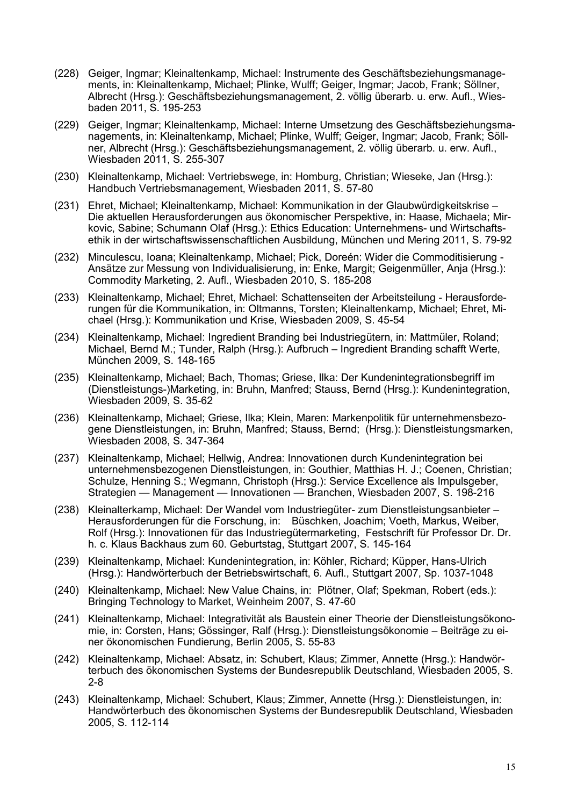- (228) Geiger, Ingmar; Kleinaltenkamp, Michael: Instrumente des Geschäftsbeziehungsmanagements, in: Kleinaltenkamp, Michael; Plinke, Wulff; Geiger, Ingmar; Jacob, Frank; Söllner, Albrecht (Hrsg.): Geschäftsbeziehungsmanagement, 2. völlig überarb. u. erw. Aufl., Wiesbaden 2011, S. 195-253
- (229) Geiger, Ingmar; Kleinaltenkamp, Michael: Interne Umsetzung des Geschäftsbeziehungsmanagements, in: Kleinaltenkamp, Michael; Plinke, Wulff; Geiger, Ingmar; Jacob, Frank; Söllner, Albrecht (Hrsg.): Geschäftsbeziehungsmanagement, 2. völlig überarb. u. erw. Aufl., Wiesbaden 2011, S. 255-307
- (230) Kleinaltenkamp, Michael: Vertriebswege, in: Homburg, Christian; Wieseke, Jan (Hrsg.): Handbuch Vertriebsmanagement, Wiesbaden 2011, S. 57-80
- (231) Ehret, Michael; Kleinaltenkamp, Michael: Kommunikation in der Glaubwürdigkeitskrise Die aktuellen Herausforderungen aus ökonomischer Perspektive, in: Haase, Michaela; Mirkovic, Sabine; Schumann Olaf (Hrsg.): Ethics Education: Unternehmens- und Wirtschaftsethik in der wirtschaftswissenschaftlichen Ausbildung, München und Mering 2011, S. 79-92
- (232) Minculescu, Ioana; Kleinaltenkamp, Michael; Pick, Doreén: Wider die Commoditisierung Ansätze zur Messung von Individualisierung, in: Enke, Margit; Geigenmüller, Anja (Hrsg.): Commodity Marketing, 2. Aufl., Wiesbaden 2010, S. 185-208
- (233) Kleinaltenkamp, Michael; Ehret, Michael: Schattenseiten der Arbeitsteilung Herausforderungen für die Kommunikation, in: Oltmanns, Torsten; Kleinaltenkamp, Michael; Ehret, Michael (Hrsg.): Kommunikation und Krise, Wiesbaden 2009, S. 45-54
- (234) Kleinaltenkamp, Michael: Ingredient Branding bei Industriegütern, in: Mattmüler, Roland; Michael, Bernd M.; Tunder, Ralph (Hrsg.): Aufbruch – Ingredient Branding schafft Werte, München 2009, S. 148-165
- (235) Kleinaltenkamp, Michael; Bach, Thomas; Griese, Ilka: Der Kundenintegrationsbegriff im (Dienstleistungs-)Marketing, in: Bruhn, Manfred; Stauss, Bernd (Hrsg.): Kundenintegration, Wiesbaden 2009, S. 35-62
- (236) Kleinaltenkamp, Michael; Griese, Ilka; Klein, Maren: Markenpolitik für unternehmensbezogene Dienstleistungen, in: Bruhn, Manfred; Stauss, Bernd; (Hrsg.): Dienstleistungsmarken, Wiesbaden 2008, S. 347-364
- (237) Kleinaltenkamp, Michael; Hellwig, Andrea: Innovationen durch Kundenintegration bei unternehmensbezogenen Dienstleistungen, in: Gouthier, Matthias H. J.; Coenen, Christian; Schulze, Henning S.; Wegmann, Christoph (Hrsg.): Service Excellence als Impulsgeber, Strategien — Management — Innovationen — Branchen, Wiesbaden 2007, S. 198-216
- (238) Kleinalterkamp, Michael: Der Wandel vom Industriegüter- zum Dienstleistungsanbieter Herausforderungen für die Forschung, in: Büschken, Joachim; Voeth, Markus, Weiber, Rolf (Hrsg.): Innovationen für das Industriegütermarketing, Festschrift für Professor Dr. Dr. h. c. Klaus Backhaus zum 60. Geburtstag, Stuttgart 2007, S. 145-164
- (239) Kleinaltenkamp, Michael: Kundenintegration, in: Köhler, Richard; Küpper, Hans-Ulrich (Hrsg.): Handwörterbuch der Betriebswirtschaft, 6. Aufl., Stuttgart 2007, Sp. 1037-1048
- (240) Kleinaltenkamp, Michael: New Value Chains, in: Plötner, Olaf; Spekman, Robert (eds.): Bringing Technology to Market, Weinheim 2007, S. 47-60
- (241) Kleinaltenkamp, Michael: Integrativität als Baustein einer Theorie der Dienstleistungsökonomie, in: Corsten, Hans; Gössinger, Ralf (Hrsg.): Dienstleistungsökonomie – Beiträge zu einer ökonomischen Fundierung, Berlin 2005, S. 55-83
- (242) Kleinaltenkamp, Michael: Absatz, in: Schubert, Klaus; Zimmer, Annette (Hrsg.): Handwörterbuch des ökonomischen Systems der Bundesrepublik Deutschland, Wiesbaden 2005, S. 2-8
- (243) Kleinaltenkamp, Michael: Schubert, Klaus; Zimmer, Annette (Hrsg.): Dienstleistungen, in: Handwörterbuch des ökonomischen Systems der Bundesrepublik Deutschland, Wiesbaden 2005, S. 112-114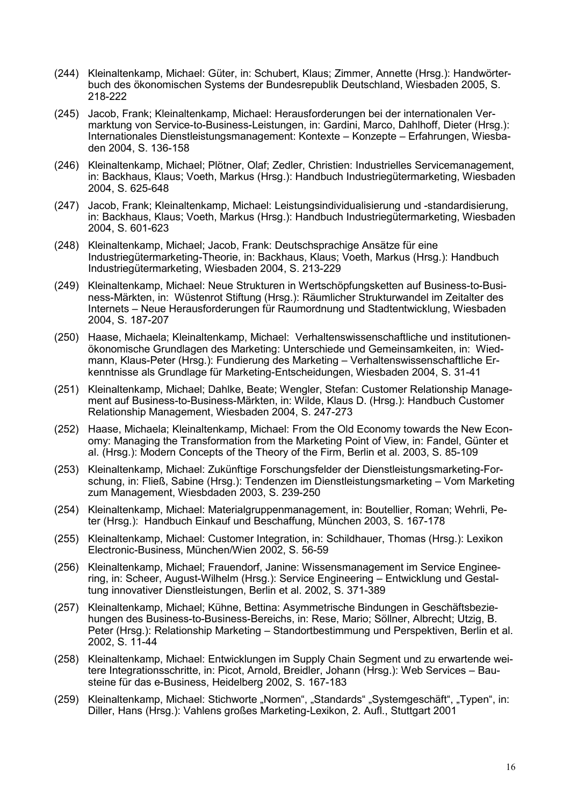- (244) Kleinaltenkamp, Michael: Güter, in: Schubert, Klaus; Zimmer, Annette (Hrsg.): Handwörterbuch des ökonomischen Systems der Bundesrepublik Deutschland, Wiesbaden 2005, S. 218-222
- (245) Jacob, Frank; Kleinaltenkamp, Michael: Herausforderungen bei der internationalen Vermarktung von Service-to-Business-Leistungen, in: Gardini, Marco, Dahlhoff, Dieter (Hrsg.): Internationales Dienstleistungsmanagement: Kontexte – Konzepte – Erfahrungen, Wiesbaden 2004, S. 136-158
- (246) Kleinaltenkamp, Michael; Plötner, Olaf; Zedler, Christien: Industrielles Servicemanagement, in: Backhaus, Klaus; Voeth, Markus (Hrsg.): Handbuch Industriegütermarketing, Wiesbaden 2004, S. 625-648
- (247) Jacob, Frank; Kleinaltenkamp, Michael: Leistungsindividualisierung und -standardisierung, in: Backhaus, Klaus; Voeth, Markus (Hrsg.): Handbuch Industriegütermarketing, Wiesbaden 2004, S. 601-623
- (248) Kleinaltenkamp, Michael; Jacob, Frank: Deutschsprachige Ansätze für eine Industriegütermarketing-Theorie, in: Backhaus, Klaus; Voeth, Markus (Hrsg.): Handbuch Industriegütermarketing, Wiesbaden 2004, S. 213-229
- (249) Kleinaltenkamp, Michael: Neue Strukturen in Wertschöpfungsketten auf Business-to-Business-Märkten, in: Wüstenrot Stiftung (Hrsg.): Räumlicher Strukturwandel im Zeitalter des Internets – Neue Herausforderungen für Raumordnung und Stadtentwicklung, Wiesbaden 2004, S. 187-207
- (250) Haase, Michaela; Kleinaltenkamp, Michael: Verhaltenswissenschaftliche und institutionenökonomische Grundlagen des Marketing: Unterschiede und Gemeinsamkeiten, in: Wiedmann, Klaus-Peter (Hrsg.): Fundierung des Marketing – Verhaltenswissenschaftliche Erkenntnisse als Grundlage für Marketing-Entscheidungen, Wiesbaden 2004, S. 31-41
- (251) Kleinaltenkamp, Michael; Dahlke, Beate; Wengler, Stefan: Customer Relationship Management auf Business-to-Business-Märkten, in: Wilde, Klaus D. (Hrsg.): Handbuch Customer Relationship Management, Wiesbaden 2004, S. 247-273
- (252) Haase, Michaela; Kleinaltenkamp, Michael: From the Old Economy towards the New Economy: Managing the Transformation from the Marketing Point of View, in: Fandel, Günter et al. (Hrsg.): Modern Concepts of the Theory of the Firm, Berlin et al. 2003, S. 85-109
- (253) Kleinaltenkamp, Michael: Zukünftige Forschungsfelder der Dienstleistungsmarketing-Forschung, in: Fließ, Sabine (Hrsg.): Tendenzen im Dienstleistungsmarketing – Vom Marketing zum Management, Wiesbdaden 2003, S. 239-250
- (254) Kleinaltenkamp, Michael: Materialgruppenmanagement, in: Boutellier, Roman; Wehrli, Peter (Hrsg.): Handbuch Einkauf und Beschaffung, München 2003, S. 167-178
- (255) Kleinaltenkamp, Michael: Customer Integration, in: Schildhauer, Thomas (Hrsg.): Lexikon Electronic-Business, München/Wien 2002, S. 56-59
- (256) Kleinaltenkamp, Michael; Frauendorf, Janine: Wissensmanagement im Service Engineering, in: Scheer, August-Wilhelm (Hrsg.): Service Engineering – Entwicklung und Gestaltung innovativer Dienstleistungen, Berlin et al. 2002, S. 371-389
- (257) Kleinaltenkamp, Michael; Kühne, Bettina: Asymmetrische Bindungen in Geschäftsbeziehungen des Business-to-Business-Bereichs, in: Rese, Mario; Söllner, Albrecht; Utzig, B. Peter (Hrsg.): Relationship Marketing – Standortbestimmung und Perspektiven, Berlin et al. 2002, S. 11-44
- (258) Kleinaltenkamp, Michael: Entwicklungen im Supply Chain Segment und zu erwartende weitere Integrationsschritte, in: Picot, Arnold, Breidler, Johann (Hrsg.): Web Services – Bausteine für das e-Business, Heidelberg 2002, S. 167-183
- (259) Kleinaltenkamp, Michael: Stichworte "Normen", "Standards" "Systemgeschäft", "Typen", in: Diller, Hans (Hrsg.): Vahlens großes Marketing-Lexikon, 2. Aufl., Stuttgart 2001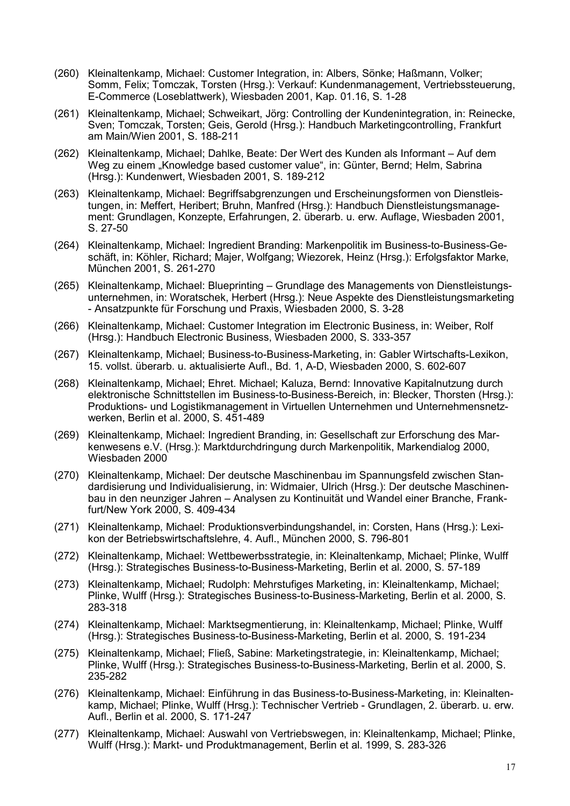- (260) Kleinaltenkamp, Michael: Customer Integration, in: Albers, Sönke; Haßmann, Volker; Somm, Felix; Tomczak, Torsten (Hrsg.): Verkauf: Kundenmanagement, Vertriebssteuerung, E-Commerce (Loseblattwerk), Wiesbaden 2001, Kap. 01.16, S. 1-28
- (261) Kleinaltenkamp, Michael; Schweikart, Jörg: Controlling der Kundenintegration, in: Reinecke, Sven; Tomczak, Torsten; Geis, Gerold (Hrsg.): Handbuch Marketingcontrolling, Frankfurt am Main/Wien 2001, S. 188-211
- (262) Kleinaltenkamp, Michael; Dahlke, Beate: Der Wert des Kunden als Informant Auf dem Weg zu einem "Knowledge based customer value", in: Günter, Bernd; Helm, Sabrina (Hrsg.): Kundenwert, Wiesbaden 2001, S. 189-212
- (263) Kleinaltenkamp, Michael: Begriffsabgrenzungen und Erscheinungsformen von Dienstleistungen, in: Meffert, Heribert; Bruhn, Manfred (Hrsg.): Handbuch Dienstleistungsmanagement: Grundlagen, Konzepte, Erfahrungen, 2. überarb. u. erw. Auflage, Wiesbaden 2001, S. 27-50
- (264) Kleinaltenkamp, Michael: Ingredient Branding: Markenpolitik im Business-to-Business-Geschäft, in: Köhler, Richard; Majer, Wolfgang; Wiezorek, Heinz (Hrsg.): Erfolgsfaktor Marke, München 2001, S. 261-270
- (265) Kleinaltenkamp, Michael: Blueprinting Grundlage des Managements von Dienstleistungsunternehmen, in: Woratschek, Herbert (Hrsg.): Neue Aspekte des Dienstleistungsmarketing - Ansatzpunkte für Forschung und Praxis, Wiesbaden 2000, S. 3-28
- (266) Kleinaltenkamp, Michael: Customer Integration im Electronic Business, in: Weiber, Rolf (Hrsg.): Handbuch Electronic Business, Wiesbaden 2000, S. 333-357
- (267) Kleinaltenkamp, Michael; Business-to-Business-Marketing, in: Gabler Wirtschafts-Lexikon, 15. vollst. überarb. u. aktualisierte Aufl., Bd. 1, A-D, Wiesbaden 2000, S. 602-607
- (268) Kleinaltenkamp, Michael; Ehret. Michael; Kaluza, Bernd: Innovative Kapitalnutzung durch elektronische Schnittstellen im Business-to-Business-Bereich, in: Blecker, Thorsten (Hrsg.): Produktions- und Logistikmanagement in Virtuellen Unternehmen und Unternehmensnetzwerken, Berlin et al. 2000, S. 451-489
- (269) Kleinaltenkamp, Michael: Ingredient Branding, in: Gesellschaft zur Erforschung des Markenwesens e.V. (Hrsg.): Marktdurchdringung durch Markenpolitik, Markendialog 2000, Wiesbaden 2000
- (270) Kleinaltenkamp, Michael: Der deutsche Maschinenbau im Spannungsfeld zwischen Standardisierung und Individualisierung, in: Widmaier, Ulrich (Hrsg.): Der deutsche Maschinenbau in den neunziger Jahren – Analysen zu Kontinuität und Wandel einer Branche, Frankfurt/New York 2000, S. 409-434
- (271) Kleinaltenkamp, Michael: Produktionsverbindungshandel, in: Corsten, Hans (Hrsg.): Lexikon der Betriebswirtschaftslehre, 4. Aufl., München 2000, S. 796-801
- (272) Kleinaltenkamp, Michael: Wettbewerbsstrategie, in: Kleinaltenkamp, Michael; Plinke, Wulff (Hrsg.): Strategisches Business-to-Business-Marketing, Berlin et al. 2000, S. 57-189
- (273) Kleinaltenkamp, Michael; Rudolph: Mehrstufiges Marketing, in: Kleinaltenkamp, Michael; Plinke, Wulff (Hrsg.): Strategisches Business-to-Business-Marketing, Berlin et al. 2000, S. 283-318
- (274) Kleinaltenkamp, Michael: Marktsegmentierung, in: Kleinaltenkamp, Michael; Plinke, Wulff (Hrsg.): Strategisches Business-to-Business-Marketing, Berlin et al. 2000, S. 191-234
- (275) Kleinaltenkamp, Michael; Fließ, Sabine: Marketingstrategie, in: Kleinaltenkamp, Michael; Plinke, Wulff (Hrsg.): Strategisches Business-to-Business-Marketing, Berlin et al. 2000, S. 235-282
- (276) Kleinaltenkamp, Michael: Einführung in das Business-to-Business-Marketing, in: Kleinaltenkamp, Michael; Plinke, Wulff (Hrsg.): Technischer Vertrieb - Grundlagen, 2. überarb. u. erw. Aufl., Berlin et al. 2000, S. 171-247
- (277) Kleinaltenkamp, Michael: Auswahl von Vertriebswegen, in: Kleinaltenkamp, Michael; Plinke, Wulff (Hrsg.): Markt- und Produktmanagement, Berlin et al. 1999, S. 283-326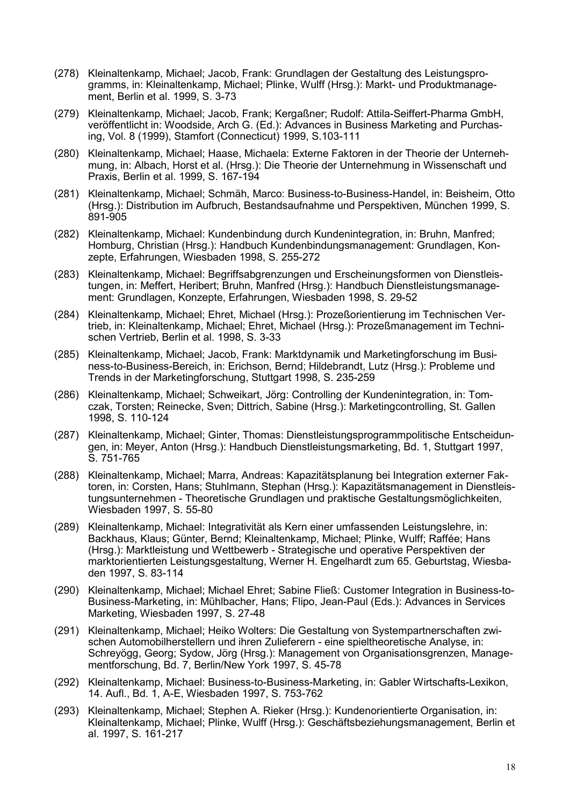- (278) Kleinaltenkamp, Michael; Jacob, Frank: Grundlagen der Gestaltung des Leistungsprogramms, in: Kleinaltenkamp, Michael; Plinke, Wulff (Hrsg.): Markt- und Produktmanagement, Berlin et al. 1999, S. 3-73
- (279) Kleinaltenkamp, Michael; Jacob, Frank; Kergaßner; Rudolf: Attila-Seiffert-Pharma GmbH, veröffentlicht in: Woodside, Arch G. (Ed.): Advances in Business Marketing and Purchasing, Vol. 8 (1999), Stamfort (Connecticut) 1999, S.103-111
- (280) Kleinaltenkamp, Michael; Haase, Michaela: Externe Faktoren in der Theorie der Unternehmung, in: Albach, Horst et al. (Hrsg.): Die Theorie der Unternehmung in Wissenschaft und Praxis, Berlin et al. 1999, S. 167-194
- (281) Kleinaltenkamp, Michael; Schmäh, Marco: Business-to-Business-Handel, in: Beisheim, Otto (Hrsg.): Distribution im Aufbruch, Bestandsaufnahme und Perspektiven, München 1999, S. 891-905
- (282) Kleinaltenkamp, Michael: Kundenbindung durch Kundenintegration, in: Bruhn, Manfred; Homburg, Christian (Hrsg.): Handbuch Kundenbindungsmanagement: Grundlagen, Konzepte, Erfahrungen, Wiesbaden 1998, S. 255-272
- (283) Kleinaltenkamp, Michael: Begriffsabgrenzungen und Erscheinungsformen von Dienstleistungen, in: Meffert, Heribert; Bruhn, Manfred (Hrsg.): Handbuch Dienstleistungsmanagement: Grundlagen, Konzepte, Erfahrungen, Wiesbaden 1998, S. 29-52
- (284) Kleinaltenkamp, Michael; Ehret, Michael (Hrsg.): Prozeßorientierung im Technischen Vertrieb, in: Kleinaltenkamp, Michael; Ehret, Michael (Hrsg.): Prozeßmanagement im Technischen Vertrieb, Berlin et al. 1998, S. 3-33
- (285) Kleinaltenkamp, Michael; Jacob, Frank: Marktdynamik und Marketingforschung im Business-to-Business-Bereich, in: Erichson, Bernd; Hildebrandt, Lutz (Hrsg.): Probleme und Trends in der Marketingforschung, Stuttgart 1998, S. 235-259
- (286) Kleinaltenkamp, Michael; Schweikart, Jörg: Controlling der Kundenintegration, in: Tomczak, Torsten; Reinecke, Sven; Dittrich, Sabine (Hrsg.): Marketingcontrolling, St. Gallen 1998, S. 110-124
- (287) Kleinaltenkamp, Michael; Ginter, Thomas: Dienstleistungsprogrammpolitische Entscheidungen, in: Meyer, Anton (Hrsg.): Handbuch Dienstleistungsmarketing, Bd. 1, Stuttgart 1997, S. 751-765
- (288) Kleinaltenkamp, Michael; Marra, Andreas: Kapazitätsplanung bei Integration externer Faktoren, in: Corsten, Hans; Stuhlmann, Stephan (Hrsg.): Kapazitätsmanagement in Dienstleistungsunternehmen - Theoretische Grundlagen und praktische Gestaltungsmöglichkeiten, Wiesbaden 1997, S. 55-80
- (289) Kleinaltenkamp, Michael: Integrativität als Kern einer umfassenden Leistungslehre, in: Backhaus, Klaus; Günter, Bernd; Kleinaltenkamp, Michael; Plinke, Wulff; Raffée; Hans (Hrsg.): Marktleistung und Wettbewerb - Strategische und operative Perspektiven der marktorientierten Leistungsgestaltung, Werner H. Engelhardt zum 65. Geburtstag, Wiesbaden 1997, S. 83-114
- (290) Kleinaltenkamp, Michael; Michael Ehret; Sabine Fließ: Customer Integration in Business-to-Business-Marketing, in: Mühlbacher, Hans; Flipo, Jean-Paul (Eds.): Advances in Services Marketing, Wiesbaden 1997, S. 27-48
- (291) Kleinaltenkamp, Michael; Heiko Wolters: Die Gestaltung von Systempartnerschaften zwischen Automobilherstellern und ihren Zulieferern - eine spieltheoretische Analyse, in: Schreyögg, Georg; Sydow, Jörg (Hrsg.): Management von Organisationsgrenzen, Managementforschung, Bd. 7, Berlin/New York 1997, S. 45-78
- (292) Kleinaltenkamp, Michael: Business-to-Business-Marketing, in: Gabler Wirtschafts-Lexikon, 14. Aufl., Bd. 1, A-E, Wiesbaden 1997, S. 753-762
- (293) Kleinaltenkamp, Michael; Stephen A. Rieker (Hrsg.): Kundenorientierte Organisation, in: Kleinaltenkamp, Michael; Plinke, Wulff (Hrsg.): Geschäftsbeziehungsmanagement, Berlin et al. 1997, S. 161-217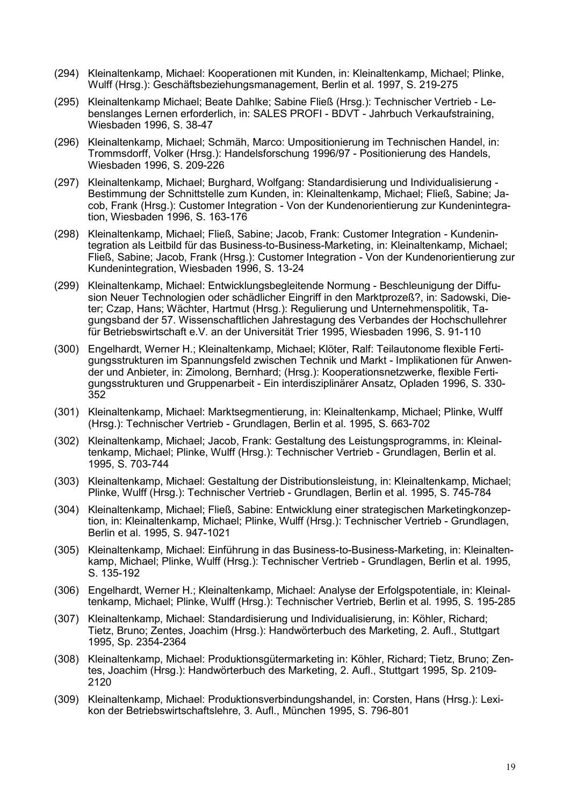- (294) Kleinaltenkamp, Michael: Kooperationen mit Kunden, in: Kleinaltenkamp, Michael; Plinke, Wulff (Hrsg.): Geschäftsbeziehungsmanagement, Berlin et al. 1997, S. 219-275
- (295) Kleinaltenkamp Michael; Beate Dahlke; Sabine Fließ (Hrsg.): Technischer Vertrieb Lebenslanges Lernen erforderlich, in: SALES PROFI - BDVT - Jahrbuch Verkaufstraining, Wiesbaden 1996, S. 38-47
- (296) Kleinaltenkamp, Michael; Schmäh, Marco: Umpositionierung im Technischen Handel, in: Trommsdorff, Volker (Hrsg.): Handelsforschung 1996/97 - Positionierung des Handels, Wiesbaden 1996, S. 209-226
- (297) Kleinaltenkamp, Michael; Burghard, Wolfgang: Standardisierung und Individualisierung Bestimmung der Schnittstelle zum Kunden, in: Kleinaltenkamp, Michael; Fließ, Sabine; Jacob, Frank (Hrsg.): Customer Integration - Von der Kundenorientierung zur Kundenintegration, Wiesbaden 1996, S. 163-176
- (298) Kleinaltenkamp, Michael; Fließ, Sabine; Jacob, Frank: Customer Integration Kundenintegration als Leitbild für das Business-to-Business-Marketing, in: Kleinaltenkamp, Michael; Fließ, Sabine; Jacob, Frank (Hrsg.): Customer Integration - Von der Kundenorientierung zur Kundenintegration, Wiesbaden 1996, S. 13-24
- (299) Kleinaltenkamp, Michael: Entwicklungsbegleitende Normung Beschleunigung der Diffusion Neuer Technologien oder schädlicher Eingriff in den Marktprozeß?, in: Sadowski, Dieter; Czap, Hans; Wächter, Hartmut (Hrsg.): Regulierung und Unternehmenspolitik, Tagungsband der 57. Wissenschaftlichen Jahrestagung des Verbandes der Hochschullehrer für Betriebswirtschaft e.V. an der Universität Trier 1995, Wiesbaden 1996, S. 91-110
- (300) Engelhardt, Werner H.; Kleinaltenkamp, Michael; Klöter, Ralf: Teilautonome flexible Fertigungsstrukturen im Spannungsfeld zwischen Technik und Markt - Implikationen für Anwender und Anbieter, in: Zimolong, Bernhard; (Hrsg.): Kooperationsnetzwerke, flexible Fertigungsstrukturen und Gruppenarbeit - Ein interdisziplinärer Ansatz, Opladen 1996, S. 330- 352
- (301) Kleinaltenkamp, Michael: Marktsegmentierung, in: Kleinaltenkamp, Michael; Plinke, Wulff (Hrsg.): Technischer Vertrieb - Grundlagen, Berlin et al. 1995, S. 663-702
- (302) Kleinaltenkamp, Michael; Jacob, Frank: Gestaltung des Leistungsprogramms, in: Kleinaltenkamp, Michael; Plinke, Wulff (Hrsg.): Technischer Vertrieb - Grundlagen, Berlin et al. 1995, S. 703-744
- (303) Kleinaltenkamp, Michael: Gestaltung der Distributionsleistung, in: Kleinaltenkamp, Michael; Plinke, Wulff (Hrsg.): Technischer Vertrieb - Grundlagen, Berlin et al. 1995, S. 745-784
- (304) Kleinaltenkamp, Michael; Fließ, Sabine: Entwicklung einer strategischen Marketingkonzeption, in: Kleinaltenkamp, Michael; Plinke, Wulff (Hrsg.): Technischer Vertrieb - Grundlagen, Berlin et al. 1995, S. 947-1021
- (305) Kleinaltenkamp, Michael: Einführung in das Business-to-Business-Marketing, in: Kleinaltenkamp, Michael; Plinke, Wulff (Hrsg.): Technischer Vertrieb - Grundlagen, Berlin et al. 1995, S. 135-192
- (306) Engelhardt, Werner H.; Kleinaltenkamp, Michael: Analyse der Erfolgspotentiale, in: Kleinaltenkamp, Michael; Plinke, Wulff (Hrsg.): Technischer Vertrieb, Berlin et al. 1995, S. 195-285
- (307) Kleinaltenkamp, Michael: Standardisierung und Individualisierung, in: Köhler, Richard; Tietz, Bruno; Zentes, Joachim (Hrsg.): Handwörterbuch des Marketing, 2. Aufl., Stuttgart 1995, Sp. 2354-2364
- (308) Kleinaltenkamp, Michael: Produktionsgütermarketing in: Köhler, Richard; Tietz, Bruno; Zentes, Joachim (Hrsg.): Handwörterbuch des Marketing, 2. Aufl., Stuttgart 1995, Sp. 2109- 2120
- (309) Kleinaltenkamp, Michael: Produktionsverbindungshandel, in: Corsten, Hans (Hrsg.): Lexikon der Betriebswirtschaftslehre, 3. Aufl., München 1995, S. 796-801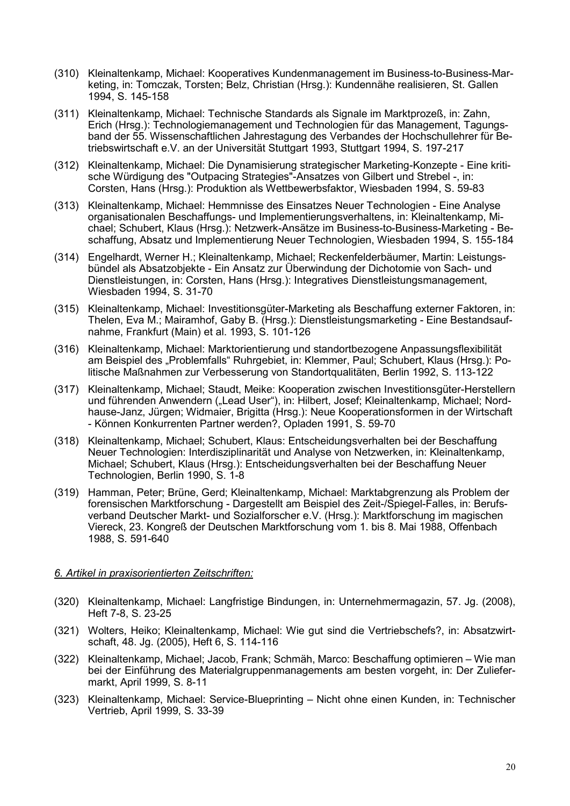- (310) Kleinaltenkamp, Michael: Kooperatives Kundenmanagement im Business-to-Business-Marketing, in: Tomczak, Torsten; Belz, Christian (Hrsg.): Kundennähe realisieren, St. Gallen 1994, S. 145-158
- (311) Kleinaltenkamp, Michael: Technische Standards als Signale im Marktprozeß, in: Zahn, Erich (Hrsg.): Technologiemanagement und Technologien für das Management, Tagungsband der 55. Wissenschaftlichen Jahrestagung des Verbandes der Hochschullehrer für Betriebswirtschaft e.V. an der Universität Stuttgart 1993, Stuttgart 1994, S. 197-217
- (312) Kleinaltenkamp, Michael: Die Dynamisierung strategischer Marketing-Konzepte Eine kritische Würdigung des "Outpacing Strategies"-Ansatzes von Gilbert und Strebel -, in: Corsten, Hans (Hrsg.): Produktion als Wettbewerbsfaktor, Wiesbaden 1994, S. 59-83
- (313) Kleinaltenkamp, Michael: Hemmnisse des Einsatzes Neuer Technologien Eine Analyse organisationalen Beschaffungs- und Implementierungsverhaltens, in: Kleinaltenkamp, Michael; Schubert, Klaus (Hrsg.): Netzwerk-Ansätze im Business-to-Business-Marketing - Beschaffung, Absatz und Implementierung Neuer Technologien, Wiesbaden 1994, S. 155-184
- (314) Engelhardt, Werner H.; Kleinaltenkamp, Michael; Reckenfelderbäumer, Martin: Leistungsbündel als Absatzobjekte - Ein Ansatz zur Überwindung der Dichotomie von Sach- und Dienstleistungen, in: Corsten, Hans (Hrsg.): Integratives Dienstleistungsmanagement, Wiesbaden 1994, S. 31-70
- (315) Kleinaltenkamp, Michael: Investitionsgüter-Marketing als Beschaffung externer Faktoren, in: Thelen, Eva M.; Mairamhof, Gaby B. (Hrsg.): Dienstleistungsmarketing - Eine Bestandsaufnahme, Frankfurt (Main) et al. 1993, S. 101-126
- (316) Kleinaltenkamp, Michael: Marktorientierung und standortbezogene Anpassungsflexibilität am Beispiel des "Problemfalls" Ruhrgebiet, in: Klemmer, Paul; Schubert, Klaus (Hrsg.): Politische Maßnahmen zur Verbesserung von Standortqualitäten, Berlin 1992, S. 113-122
- (317) Kleinaltenkamp, Michael; Staudt, Meike: Kooperation zwischen Investitionsgüter-Herstellern und führenden Anwendern ("Lead User"), in: Hilbert, Josef; Kleinaltenkamp, Michael; Nordhause-Janz, Jürgen; Widmaier, Brigitta (Hrsg.): Neue Kooperationsformen in der Wirtschaft - Können Konkurrenten Partner werden?, Opladen 1991, S. 59-70
- (318) Kleinaltenkamp, Michael; Schubert, Klaus: Entscheidungsverhalten bei der Beschaffung Neuer Technologien: Interdisziplinarität und Analyse von Netzwerken, in: Kleinaltenkamp, Michael; Schubert, Klaus (Hrsg.): Entscheidungsverhalten bei der Beschaffung Neuer Technologien, Berlin 1990, S. 1-8
- (319) Hamman, Peter; Brüne, Gerd; Kleinaltenkamp, Michael: Marktabgrenzung als Problem der forensischen Marktforschung - Dargestellt am Beispiel des Zeit-/Spiegel-Falles, in: Berufsverband Deutscher Markt- und Sozialforscher e.V. (Hrsg.): Marktforschung im magischen Viereck, 23. Kongreß der Deutschen Marktforschung vom 1. bis 8. Mai 1988, Offenbach 1988, S. 591-640

# *6. Artikel in praxisorientierten Zeitschriften:*

- (320) Kleinaltenkamp, Michael: Langfristige Bindungen, in: Unternehmermagazin, 57. Jg. (2008), Heft 7-8, S. 23-25
- (321) Wolters, Heiko; Kleinaltenkamp, Michael: Wie gut sind die Vertriebschefs?, in: Absatzwirtschaft, 48. Jg. (2005), Heft 6, S. 114-116
- (322) Kleinaltenkamp, Michael; Jacob, Frank; Schmäh, Marco: Beschaffung optimieren Wie man bei der Einführung des Materialgruppenmanagements am besten vorgeht, in: Der Zuliefermarkt, April 1999, S. 8-11
- (323) Kleinaltenkamp, Michael: Service-Blueprinting Nicht ohne einen Kunden, in: Technischer Vertrieb, April 1999, S. 33-39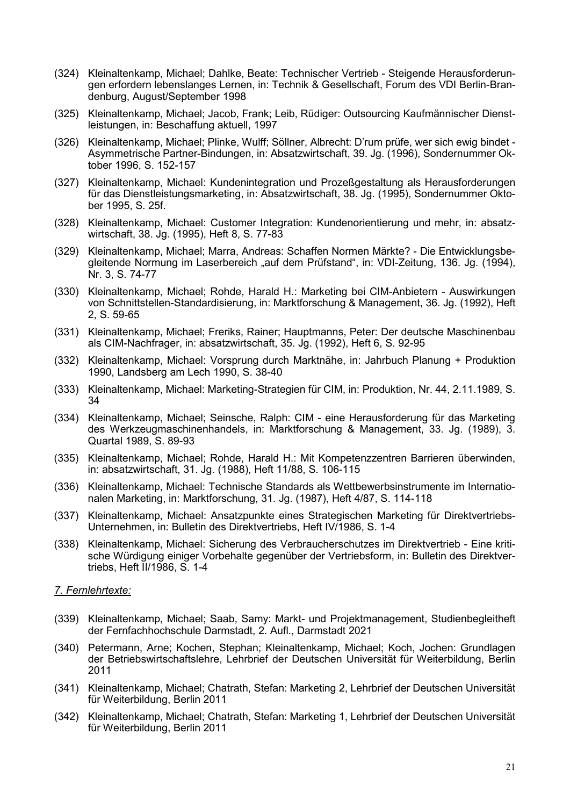- (324) Kleinaltenkamp, Michael; Dahlke, Beate: Technischer Vertrieb Steigende Herausforderungen erfordern lebenslanges Lernen, in: Technik & Gesellschaft, Forum des VDI Berlin-Brandenburg, August/September 1998
- (325) Kleinaltenkamp, Michael; Jacob, Frank; Leib, Rüdiger: Outsourcing Kaufmännischer Dienstleistungen, in: Beschaffung aktuell, 1997
- (326) Kleinaltenkamp, Michael; Plinke, Wulff; Söllner, Albrecht: D'rum prüfe, wer sich ewig bindet Asymmetrische Partner-Bindungen, in: Absatzwirtschaft, 39. Jg. (1996), Sondernummer Oktober 1996, S. 152-157
- (327) Kleinaltenkamp, Michael: Kundenintegration und Prozeßgestaltung als Herausforderungen für das Dienstleistungsmarketing, in: Absatzwirtschaft, 38. Jg. (1995), Sondernummer Oktober 1995, S. 25f.
- (328) Kleinaltenkamp, Michael: Customer Integration: Kundenorientierung und mehr, in: absatzwirtschaft, 38. Jg. (1995), Heft 8, S. 77-83
- (329) Kleinaltenkamp, Michael; Marra, Andreas: Schaffen Normen Märkte? Die Entwicklungsbegleitende Normung im Laserbereich "auf dem Prüfstand", in: VDI-Zeitung, 136. Jg. (1994), Nr. 3, S. 74-77
- (330) Kleinaltenkamp, Michael; Rohde, Harald H.: Marketing bei CIM-Anbietern Auswirkungen von Schnittstellen-Standardisierung, in: Marktforschung & Management, 36. Jg. (1992), Heft 2, S. 59-65
- (331) Kleinaltenkamp, Michael; Freriks, Rainer; Hauptmanns, Peter: Der deutsche Maschinenbau als CIM-Nachfrager, in: absatzwirtschaft, 35. Jg. (1992), Heft 6, S. 92-95
- (332) Kleinaltenkamp, Michael: Vorsprung durch Marktnähe, in: Jahrbuch Planung + Produktion 1990, Landsberg am Lech 1990, S. 38-40
- (333) Kleinaltenkamp, Michael: Marketing-Strategien für CIM, in: Produktion, Nr. 44, 2.11.1989, S. 34
- (334) Kleinaltenkamp, Michael; Seinsche, Ralph: CIM eine Herausforderung für das Marketing des Werkzeugmaschinenhandels, in: Marktforschung & Management, 33. Jg. (1989), 3. Quartal 1989, S. 89-93
- (335) Kleinaltenkamp, Michael; Rohde, Harald H.: Mit Kompetenzzentren Barrieren überwinden, in: absatzwirtschaft, 31. Jg. (1988), Heft 11/88, S. 106-115
- (336) Kleinaltenkamp, Michael: Technische Standards als Wettbewerbsinstrumente im Internationalen Marketing, in: Marktforschung, 31. Jg. (1987), Heft 4/87, S. 114-118
- (337) Kleinaltenkamp, Michael: Ansatzpunkte eines Strategischen Marketing für Direktvertriebs-Unternehmen, in: Bulletin des Direktvertriebs, Heft IV/1986, S. 1-4
- (338) Kleinaltenkamp, Michael: Sicherung des Verbraucherschutzes im Direktvertrieb Eine kritische Würdigung einiger Vorbehalte gegenüber der Vertriebsform, in: Bulletin des Direktvertriebs, Heft II/1986, S. 1-4

### *7. Fernlehrtexte:*

- (339) Kleinaltenkamp, Michael; Saab, Samy: Markt- und Projektmanagement, Studienbegleitheft der Fernfachhochschule Darmstadt, 2. Aufl., Darmstadt 2021
- (340) Petermann, Arne; Kochen, Stephan; Kleinaltenkamp, Michael; Koch, Jochen: Grundlagen der Betriebswirtschaftslehre, Lehrbrief der Deutschen Universität für Weiterbildung, Berlin 2011
- (341) Kleinaltenkamp, Michael; Chatrath, Stefan: Marketing 2, Lehrbrief der Deutschen Universität für Weiterbildung, Berlin 2011
- (342) Kleinaltenkamp, Michael; Chatrath, Stefan: Marketing 1, Lehrbrief der Deutschen Universität für Weiterbildung, Berlin 2011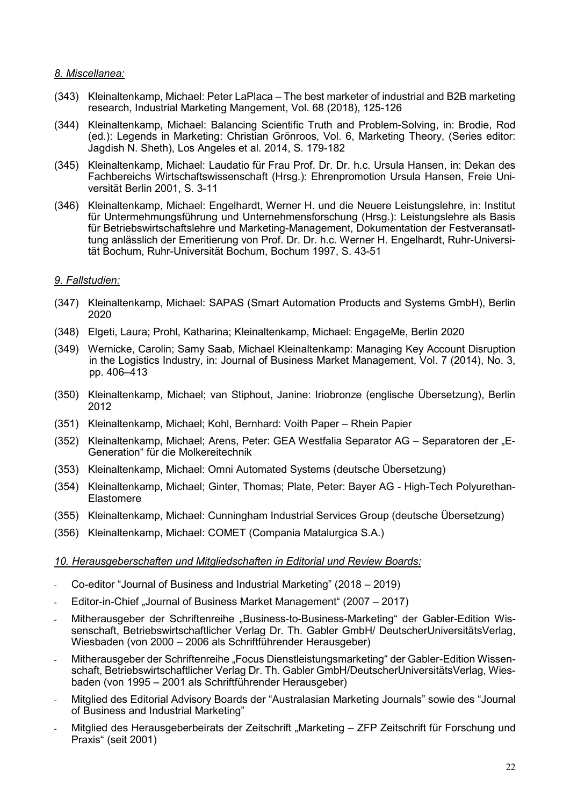## *8. Miscellanea:*

- (343) Kleinaltenkamp, Michael: Peter LaPlaca The best marketer of industrial and B2B marketing research, Industrial Marketing Mangement, Vol. 68 (2018), 125-126
- (344) Kleinaltenkamp, Michael: Balancing Scientific Truth and Problem-Solving, in: Brodie, Rod (ed.): Legends in Marketing: Christian Grönroos, Vol. 6, Marketing Theory, (Series editor: Jagdish N. Sheth), Los Angeles et al. 2014, S. 179-182
- (345) Kleinaltenkamp, Michael: Laudatio für Frau Prof. Dr. Dr. h.c. Ursula Hansen, in: Dekan des Fachbereichs Wirtschaftswissenschaft (Hrsg.): Ehrenpromotion Ursula Hansen, Freie Universität Berlin 2001, S. 3-11
- (346) Kleinaltenkamp, Michael: Engelhardt, Werner H. und die Neuere Leistungslehre, in: Institut für Untermehmungsführung und Unternehmensforschung (Hrsg.): Leistungslehre als Basis für Betriebswirtschaftslehre und Marketing-Management, Dokumentation der Festveransatltung anlässlich der Emeritierung von Prof. Dr. Dr. h.c. Werner H. Engelhardt, Ruhr-Universität Bochum, Ruhr-Universität Bochum, Bochum 1997, S. 43-51

# *9. Fallstudien:*

- (347) Kleinaltenkamp, Michael: SAPAS (Smart Automation Products and Systems GmbH), Berlin 2020
- (348) Elgeti, Laura; Prohl, Katharina; Kleinaltenkamp, Michael: EngageMe, Berlin 2020
- (349) Wernicke, Carolin; Samy Saab, Michael Kleinaltenkamp: Managing Key Account Disruption in the Logistics Industry, in: Journal of Business Market Management, Vol. 7 (2014), No. 3, pp. 406–413
- (350) Kleinaltenkamp, Michael; van Stiphout, Janine: Iriobronze (englische Übersetzung), Berlin 2012
- (351) Kleinaltenkamp, Michael; Kohl, Bernhard: Voith Paper Rhein Papier
- (352) Kleinaltenkamp, Michael; Arens, Peter: GEA Westfalia Separator AG Separatoren der "E-Generation" für die Molkereitechnik
- (353) Kleinaltenkamp, Michael: Omni Automated Systems (deutsche Übersetzung)
- (354) Kleinaltenkamp, Michael; Ginter, Thomas; Plate, Peter: Bayer AG High-Tech Polyurethan-Elastomere
- (355) Kleinaltenkamp, Michael: Cunningham Industrial Services Group (deutsche Übersetzung)
- (356) Kleinaltenkamp, Michael: COMET (Compania Matalurgica S.A.)

# *10. Herausgeberschaften und Mitgliedschaften in Editorial und Review Boards:*

- Co-editor "Journal of Business and Industrial Marketing" (2018 2019)
- Editor-in-Chief "Journal of Business Market Management" (2007 2017)
- Mitherausgeber der Schriftenreihe "Business-to-Business-Marketing" der Gabler-Edition Wissenschaft, Betriebswirtschaftlicher Verlag Dr. Th. Gabler GmbH/ DeutscherUniversitätsVerlag, Wiesbaden (von 2000 – 2006 als Schriftführender Herausgeber)
- Mitherausgeber der Schriftenreihe "Focus Dienstleistungsmarketing" der Gabler-Edition Wissenschaft, Betriebswirtschaftlicher Verlag Dr. Th. Gabler GmbH/DeutscherUniversitätsVerlag, Wiesbaden (von 1995 – 2001 als Schriftführender Herausgeber)
- Mitglied des Editorial Advisory Boards der "Australasian Marketing Journals" sowie des "Journal of Business and Industrial Marketing"
- Mitglied des Herausgeberbeirats der Zeitschrift "Marketing ZFP Zeitschrift für Forschung und Praxis" (seit 2001)